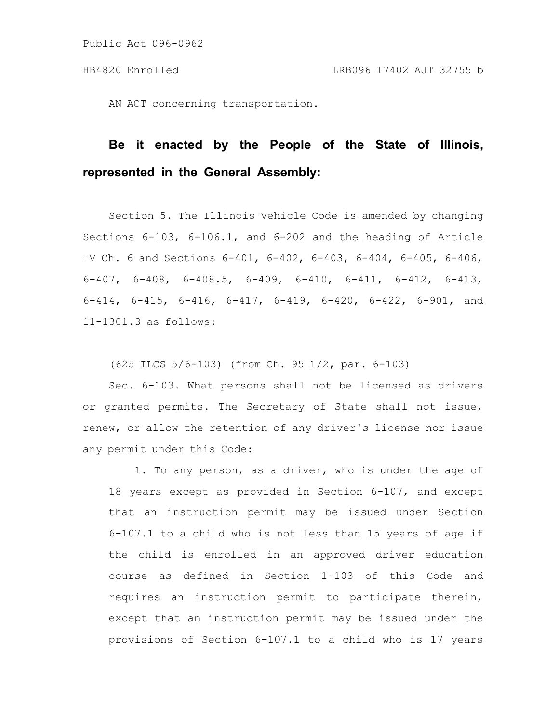AN ACT concerning transportation.

# **Be it enacted by the People of the State of Illinois, represented in the General Assembly:**

Section 5. The Illinois Vehicle Code is amended by changing Sections 6-103, 6-106.1, and 6-202 and the heading of Article IV Ch. 6 and Sections 6-401, 6-402, 6-403, 6-404, 6-405, 6-406, 6-407, 6-408, 6-408.5, 6-409, 6-410, 6-411, 6-412, 6-413, 6-414, 6-415, 6-416, 6-417, 6-419, 6-420, 6-422, 6-901, and 11-1301.3 as follows:

(625 ILCS 5/6-103) (from Ch. 95 1/2, par. 6-103)

Sec. 6-103. What persons shall not be licensed as drivers or granted permits. The Secretary of State shall not issue, renew, or allow the retention of any driver's license nor issue any permit under this Code:

1. To any person, as a driver, who is under the age of 18 years except as provided in Section 6-107, and except that an instruction permit may be issued under Section 6-107.1 to a child who is not less than 15 years of age if the child is enrolled in an approved driver education course as defined in Section 1-103 of this Code and requires an instruction permit to participate therein, except that an instruction permit may be issued under the provisions of Section 6-107.1 to a child who is 17 years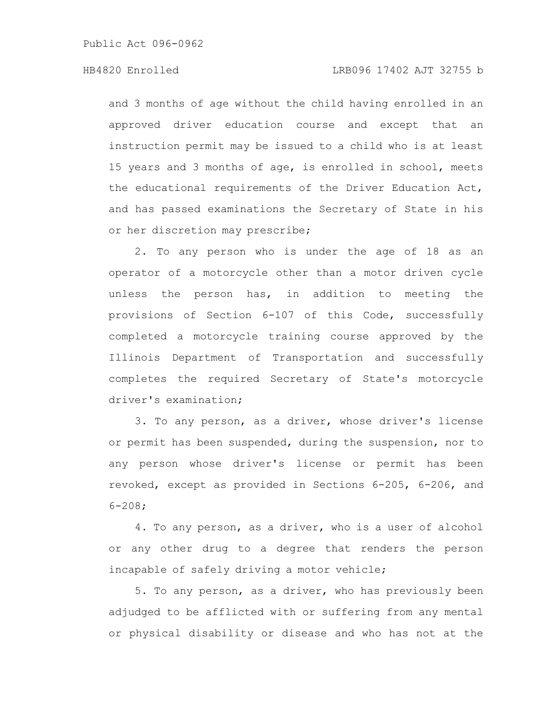and 3 months of age without the child having enrolled in an approved driver education course and except that an instruction permit may be issued to a child who is at least 15 years and 3 months of age, is enrolled in school, meets the educational requirements of the Driver Education Act, and has passed examinations the Secretary of State in his or her discretion may prescribe;

2. To any person who is under the age of 18 as an operator of a motorcycle other than a motor driven cycle unless the person has, in addition to meeting the provisions of Section 6-107 of this Code, successfully completed a motorcycle training course approved by the Illinois Department of Transportation and successfully completes the required Secretary of State's motorcycle driver's examination;

3. To any person, as a driver, whose driver's license or permit has been suspended, during the suspension, nor to any person whose driver's license or permit has been revoked, except as provided in Sections 6-205, 6-206, and 6-208;

4. To any person, as a driver, who is a user of alcohol or any other drug to a degree that renders the person incapable of safely driving a motor vehicle;

5. To any person, as a driver, who has previously been adjudged to be afflicted with or suffering from any mental or physical disability or disease and who has not at the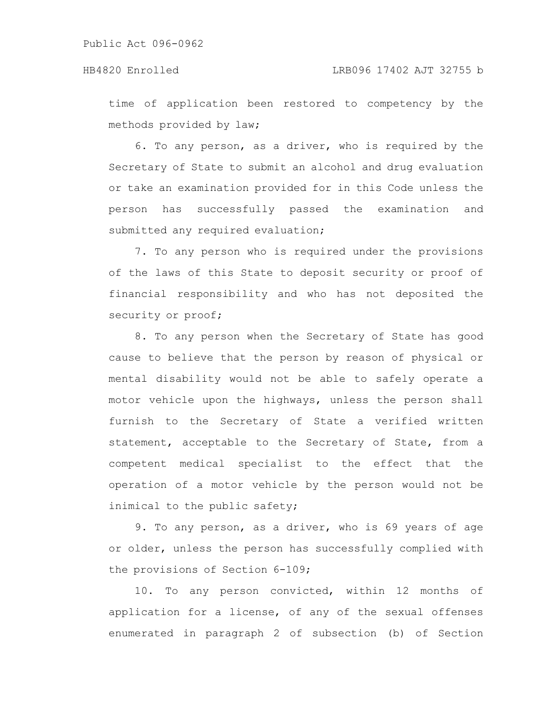time of application been restored to competency by the methods provided by law;

6. To any person, as a driver, who is required by the Secretary of State to submit an alcohol and drug evaluation or take an examination provided for in this Code unless the person has successfully passed the examination and submitted any required evaluation;

7. To any person who is required under the provisions of the laws of this State to deposit security or proof of financial responsibility and who has not deposited the security or proof;

8. To any person when the Secretary of State has good cause to believe that the person by reason of physical or mental disability would not be able to safely operate a motor vehicle upon the highways, unless the person shall furnish to the Secretary of State a verified written statement, acceptable to the Secretary of State, from a competent medical specialist to the effect that the operation of a motor vehicle by the person would not be inimical to the public safety;

9. To any person, as a driver, who is 69 years of age or older, unless the person has successfully complied with the provisions of Section 6-109;

10. To any person convicted, within 12 months of application for a license, of any of the sexual offenses enumerated in paragraph 2 of subsection (b) of Section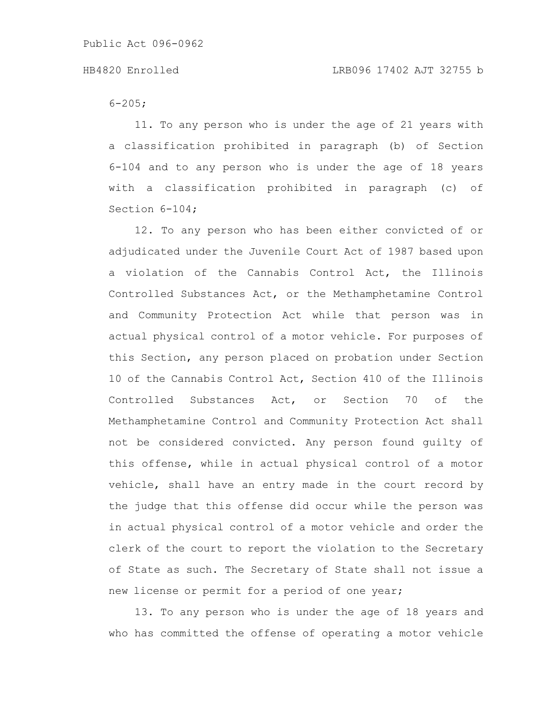$6 - 205$ ;

11. To any person who is under the age of 21 years with a classification prohibited in paragraph (b) of Section 6-104 and to any person who is under the age of 18 years with a classification prohibited in paragraph (c) of Section 6-104;

12. To any person who has been either convicted of or adjudicated under the Juvenile Court Act of 1987 based upon a violation of the Cannabis Control Act, the Illinois Controlled Substances Act, or the Methamphetamine Control and Community Protection Act while that person was in actual physical control of a motor vehicle. For purposes of this Section, any person placed on probation under Section 10 of the Cannabis Control Act, Section 410 of the Illinois Controlled Substances Act, or Section 70 of the Methamphetamine Control and Community Protection Act shall not be considered convicted. Any person found guilty of this offense, while in actual physical control of a motor vehicle, shall have an entry made in the court record by the judge that this offense did occur while the person was in actual physical control of a motor vehicle and order the clerk of the court to report the violation to the Secretary of State as such. The Secretary of State shall not issue a new license or permit for a period of one year;

13. To any person who is under the age of 18 years and who has committed the offense of operating a motor vehicle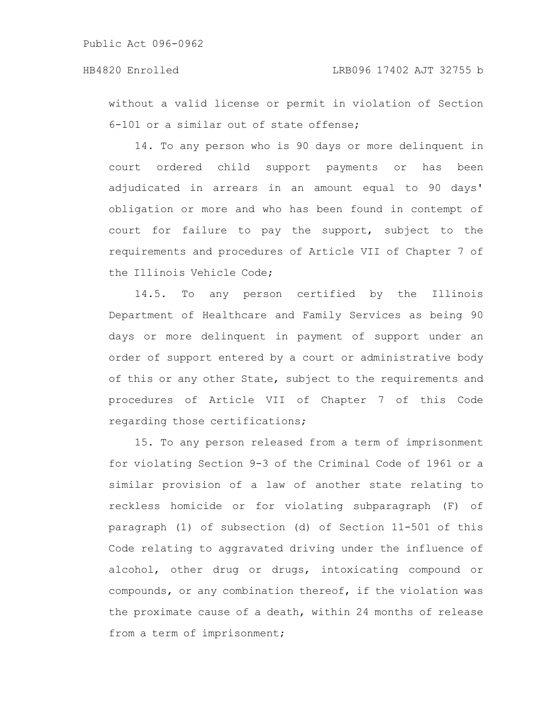### HB4820 Enrolled LRB096 17402 AJT 32755 b

without a valid license or permit in violation of Section 6-101 or a similar out of state offense;

14. To any person who is 90 days or more delinquent in court ordered child support payments or has been adjudicated in arrears in an amount equal to 90 days' obligation or more and who has been found in contempt of court for failure to pay the support, subject to the requirements and procedures of Article VII of Chapter 7 of the Illinois Vehicle Code;

14.5. To any person certified by the Illinois Department of Healthcare and Family Services as being 90 days or more delinquent in payment of support under an order of support entered by a court or administrative body of this or any other State, subject to the requirements and procedures of Article VII of Chapter 7 of this Code regarding those certifications;

15. To any person released from a term of imprisonment for violating Section 9-3 of the Criminal Code of 1961 or a similar provision of a law of another state relating to reckless homicide or for violating subparagraph (F) of paragraph (1) of subsection (d) of Section 11-501 of this Code relating to aggravated driving under the influence of alcohol, other drug or drugs, intoxicating compound or compounds, or any combination thereof, if the violation was the proximate cause of a death, within 24 months of release from a term of imprisonment;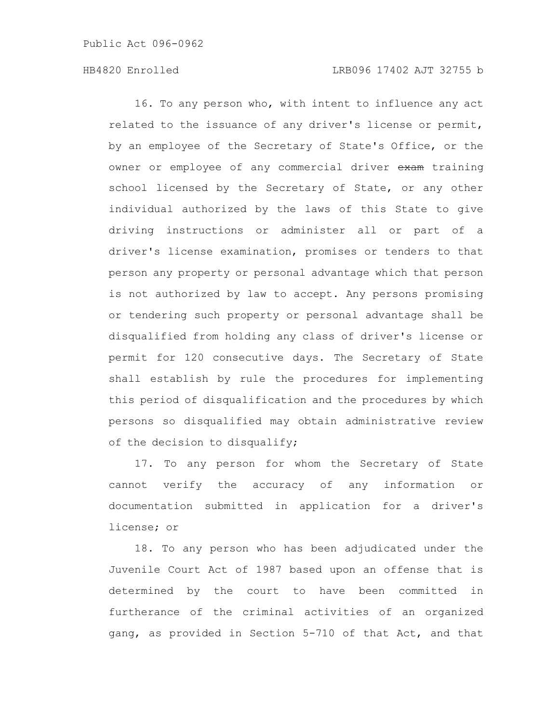16. To any person who, with intent to influence any act related to the issuance of any driver's license or permit, by an employee of the Secretary of State's Office, or the owner or employee of any commercial driver exam training school licensed by the Secretary of State, or any other individual authorized by the laws of this State to give driving instructions or administer all or part of a driver's license examination, promises or tenders to that person any property or personal advantage which that person is not authorized by law to accept. Any persons promising or tendering such property or personal advantage shall be disqualified from holding any class of driver's license or permit for 120 consecutive days. The Secretary of State shall establish by rule the procedures for implementing this period of disqualification and the procedures by which persons so disqualified may obtain administrative review of the decision to disqualify;

17. To any person for whom the Secretary of State cannot verify the accuracy of any information or documentation submitted in application for a driver's license; or

18. To any person who has been adjudicated under the Juvenile Court Act of 1987 based upon an offense that is determined by the court to have been committed in furtherance of the criminal activities of an organized gang, as provided in Section 5-710 of that Act, and that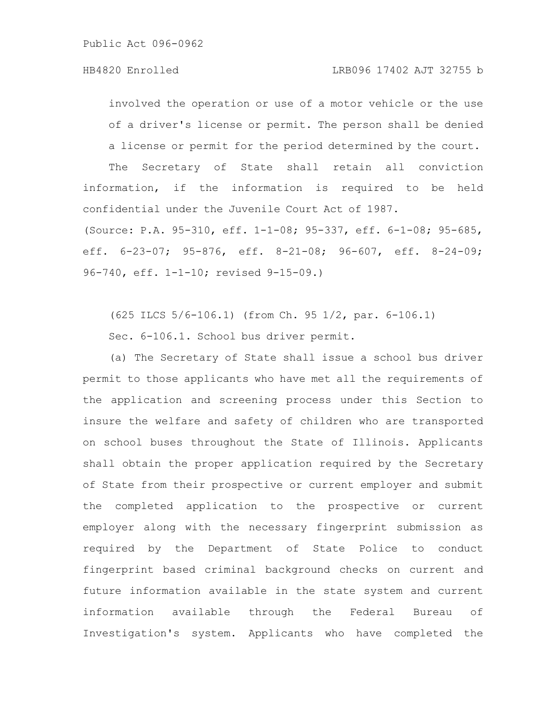involved the operation or use of a motor vehicle or the use of a driver's license or permit. The person shall be denied a license or permit for the period determined by the court.

The Secretary of State shall retain all conviction information, if the information is required to be held confidential under the Juvenile Court Act of 1987.

(Source: P.A. 95-310, eff. 1-1-08; 95-337, eff. 6-1-08; 95-685, eff. 6-23-07; 95-876, eff. 8-21-08; 96-607, eff. 8-24-09; 96-740, eff. 1-1-10; revised 9-15-09.)

(625 ILCS 5/6-106.1) (from Ch. 95 1/2, par. 6-106.1)

Sec. 6-106.1. School bus driver permit.

(a) The Secretary of State shall issue a school bus driver permit to those applicants who have met all the requirements of the application and screening process under this Section to insure the welfare and safety of children who are transported on school buses throughout the State of Illinois. Applicants shall obtain the proper application required by the Secretary of State from their prospective or current employer and submit the completed application to the prospective or current employer along with the necessary fingerprint submission as required by the Department of State Police to conduct fingerprint based criminal background checks on current and future information available in the state system and current information available through the Federal Bureau of Investigation's system. Applicants who have completed the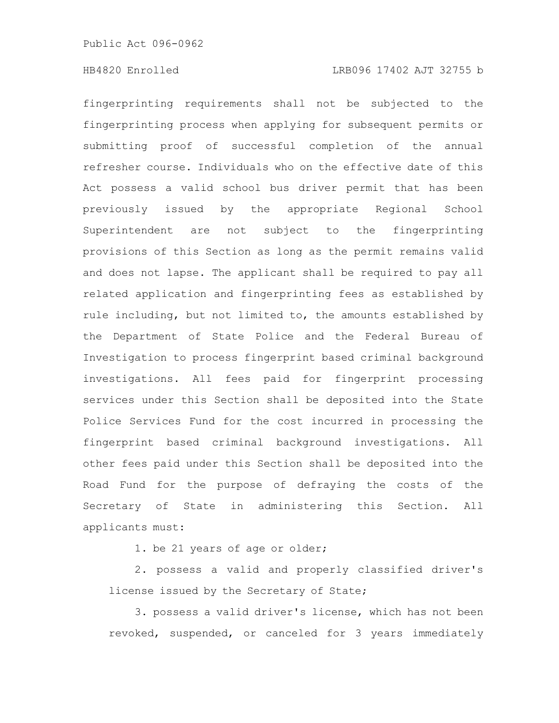fingerprinting requirements shall not be subjected to the fingerprinting process when applying for subsequent permits or submitting proof of successful completion of the annual refresher course. Individuals who on the effective date of this Act possess a valid school bus driver permit that has been previously issued by the appropriate Regional School Superintendent are not subject to the fingerprinting provisions of this Section as long as the permit remains valid and does not lapse. The applicant shall be required to pay all related application and fingerprinting fees as established by rule including, but not limited to, the amounts established by the Department of State Police and the Federal Bureau of Investigation to process fingerprint based criminal background investigations. All fees paid for fingerprint processing services under this Section shall be deposited into the State Police Services Fund for the cost incurred in processing the fingerprint based criminal background investigations. All other fees paid under this Section shall be deposited into the Road Fund for the purpose of defraying the costs of the Secretary of State in administering this Section. All applicants must:

1. be 21 years of age or older;

2. possess a valid and properly classified driver's license issued by the Secretary of State;

3. possess a valid driver's license, which has not been revoked, suspended, or canceled for 3 years immediately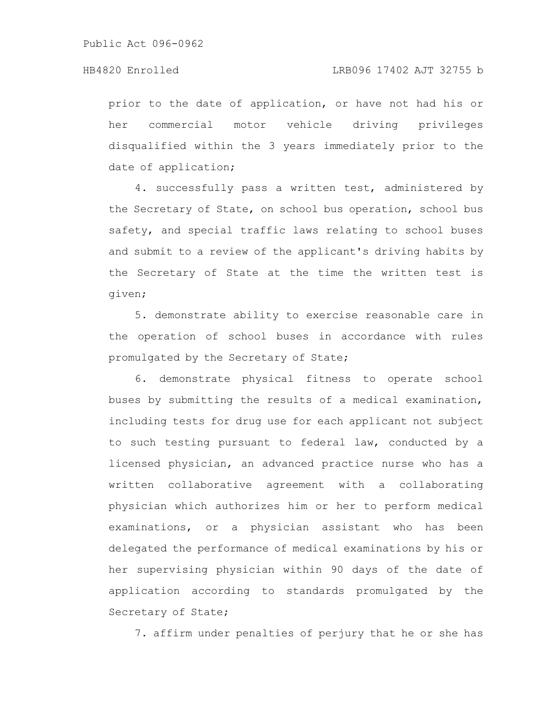prior to the date of application, or have not had his or her commercial motor vehicle driving privileges disqualified within the 3 years immediately prior to the date of application;

4. successfully pass a written test, administered by the Secretary of State, on school bus operation, school bus safety, and special traffic laws relating to school buses and submit to a review of the applicant's driving habits by the Secretary of State at the time the written test is given;

5. demonstrate ability to exercise reasonable care in the operation of school buses in accordance with rules promulgated by the Secretary of State;

6. demonstrate physical fitness to operate school buses by submitting the results of a medical examination, including tests for drug use for each applicant not subject to such testing pursuant to federal law, conducted by a licensed physician, an advanced practice nurse who has a written collaborative agreement with a collaborating physician which authorizes him or her to perform medical examinations, or a physician assistant who has been delegated the performance of medical examinations by his or her supervising physician within 90 days of the date of application according to standards promulgated by the Secretary of State;

7. affirm under penalties of perjury that he or she has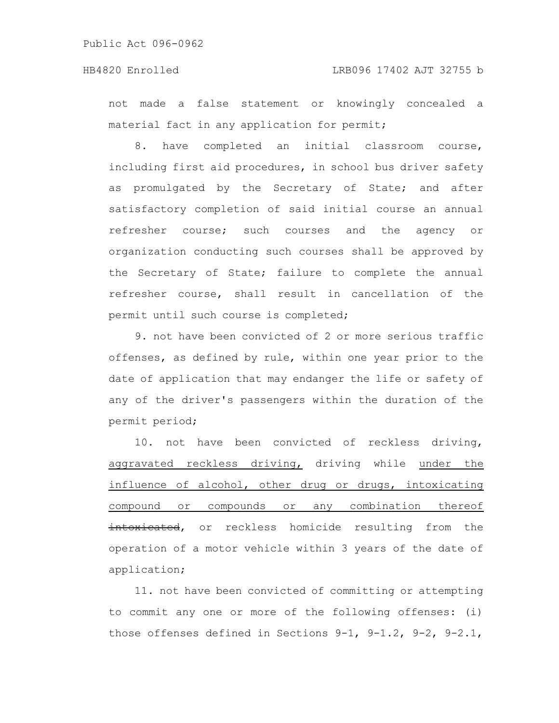not made a false statement or knowingly concealed a material fact in any application for permit;

8. have completed an initial classroom course, including first aid procedures, in school bus driver safety as promulgated by the Secretary of State; and after satisfactory completion of said initial course an annual refresher course; such courses and the agency or organization conducting such courses shall be approved by the Secretary of State; failure to complete the annual refresher course, shall result in cancellation of the permit until such course is completed;

9. not have been convicted of 2 or more serious traffic offenses, as defined by rule, within one year prior to the date of application that may endanger the life or safety of any of the driver's passengers within the duration of the permit period;

10. not have been convicted of reckless driving, aggravated reckless driving, driving while under the influence of alcohol, other drug or drugs, intoxicating compound or compounds or any combination thereof intoxicated, or reckless homicide resulting from the operation of a motor vehicle within 3 years of the date of application;

11. not have been convicted of committing or attempting to commit any one or more of the following offenses: (i) those offenses defined in Sections 9-1, 9-1.2, 9-2, 9-2.1,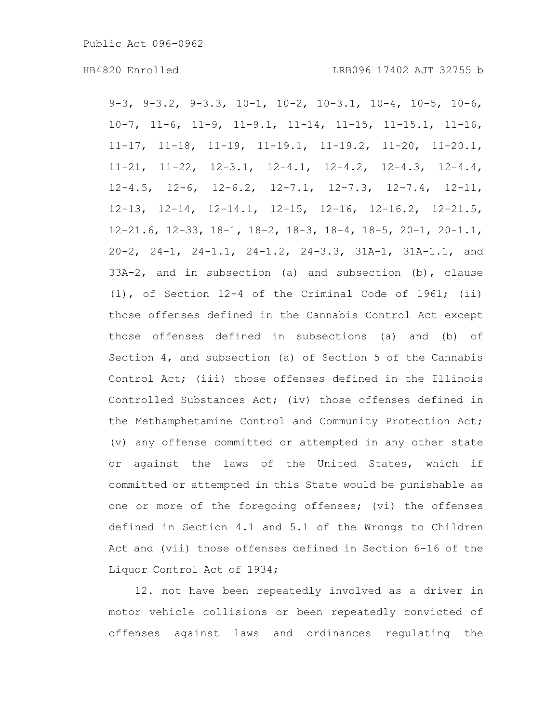9-3, 9-3.2, 9-3.3, 10-1, 10-2, 10-3.1, 10-4, 10-5, 10-6, 10-7, 11-6, 11-9, 11-9.1, 11-14, 11-15, 11-15.1, 11-16, 11-17, 11-18, 11-19, 11-19.1, 11-19.2, 11-20, 11-20.1, 11-21, 11-22, 12-3.1, 12-4.1, 12-4.2, 12-4.3, 12-4.4, 12-4.5, 12-6, 12-6.2, 12-7.1, 12-7.3, 12-7.4, 12-11, 12-13, 12-14, 12-14.1, 12-15, 12-16, 12-16.2, 12-21.5, 12-21.6, 12-33, 18-1, 18-2, 18-3, 18-4, 18-5, 20-1, 20-1.1, 20-2, 24-1, 24-1.1, 24-1.2, 24-3.3, 31A-1, 31A-1.1, and 33A-2, and in subsection (a) and subsection (b), clause (1), of Section 12-4 of the Criminal Code of 1961; (ii) those offenses defined in the Cannabis Control Act except those offenses defined in subsections (a) and (b) of Section 4, and subsection (a) of Section 5 of the Cannabis Control Act; (iii) those offenses defined in the Illinois Controlled Substances Act; (iv) those offenses defined in the Methamphetamine Control and Community Protection Act; (v) any offense committed or attempted in any other state or against the laws of the United States, which if committed or attempted in this State would be punishable as one or more of the foregoing offenses; (vi) the offenses defined in Section 4.1 and 5.1 of the Wrongs to Children Act and (vii) those offenses defined in Section 6-16 of the Liquor Control Act of 1934;

12. not have been repeatedly involved as a driver in motor vehicle collisions or been repeatedly convicted of offenses against laws and ordinances regulating the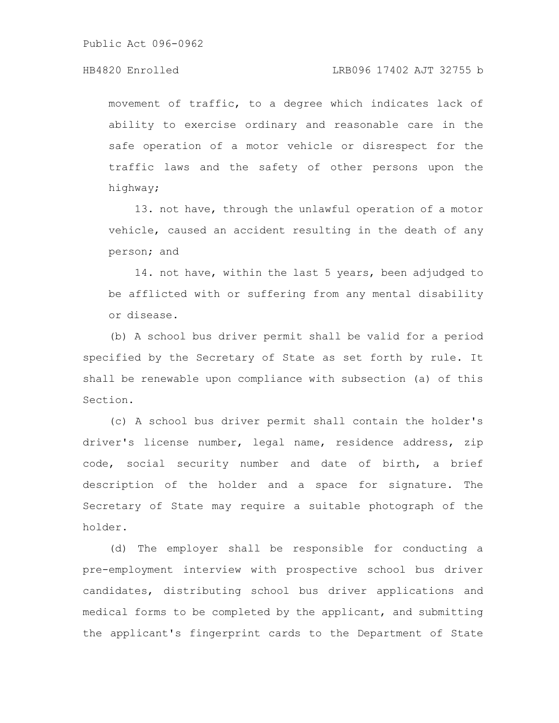### HB4820 Enrolled LRB096 17402 AJT 32755 b

movement of traffic, to a degree which indicates lack of ability to exercise ordinary and reasonable care in the safe operation of a motor vehicle or disrespect for the traffic laws and the safety of other persons upon the highway;

13. not have, through the unlawful operation of a motor vehicle, caused an accident resulting in the death of any person; and

14. not have, within the last 5 years, been adjudged to be afflicted with or suffering from any mental disability or disease.

(b) A school bus driver permit shall be valid for a period specified by the Secretary of State as set forth by rule. It shall be renewable upon compliance with subsection (a) of this Section.

(c) A school bus driver permit shall contain the holder's driver's license number, legal name, residence address, zip code, social security number and date of birth, a brief description of the holder and a space for signature. The Secretary of State may require a suitable photograph of the holder.

(d) The employer shall be responsible for conducting a pre-employment interview with prospective school bus driver candidates, distributing school bus driver applications and medical forms to be completed by the applicant, and submitting the applicant's fingerprint cards to the Department of State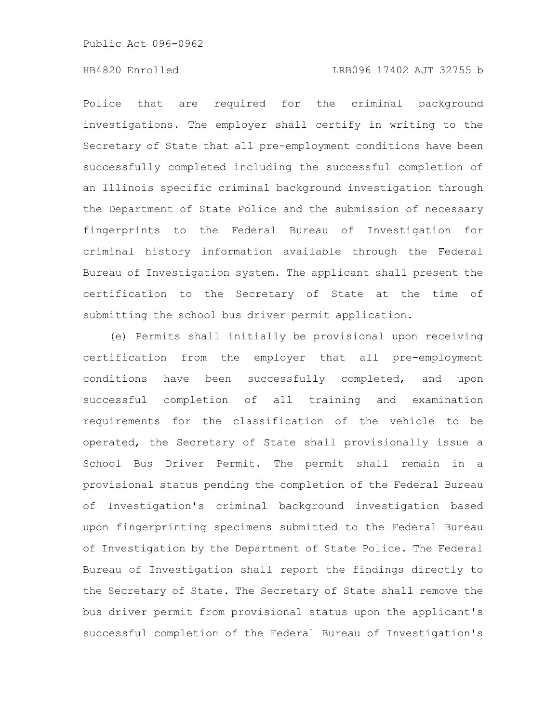### HB4820 Enrolled LRB096 17402 AJT 32755 b

Police that are required for the criminal background investigations. The employer shall certify in writing to the Secretary of State that all pre-employment conditions have been successfully completed including the successful completion of an Illinois specific criminal background investigation through the Department of State Police and the submission of necessary fingerprints to the Federal Bureau of Investigation for criminal history information available through the Federal Bureau of Investigation system. The applicant shall present the certification to the Secretary of State at the time of submitting the school bus driver permit application.

(e) Permits shall initially be provisional upon receiving certification from the employer that all pre-employment conditions have been successfully completed, and upon successful completion of all training and examination requirements for the classification of the vehicle to be operated, the Secretary of State shall provisionally issue a School Bus Driver Permit. The permit shall remain in a provisional status pending the completion of the Federal Bureau of Investigation's criminal background investigation based upon fingerprinting specimens submitted to the Federal Bureau of Investigation by the Department of State Police. The Federal Bureau of Investigation shall report the findings directly to the Secretary of State. The Secretary of State shall remove the bus driver permit from provisional status upon the applicant's successful completion of the Federal Bureau of Investigation's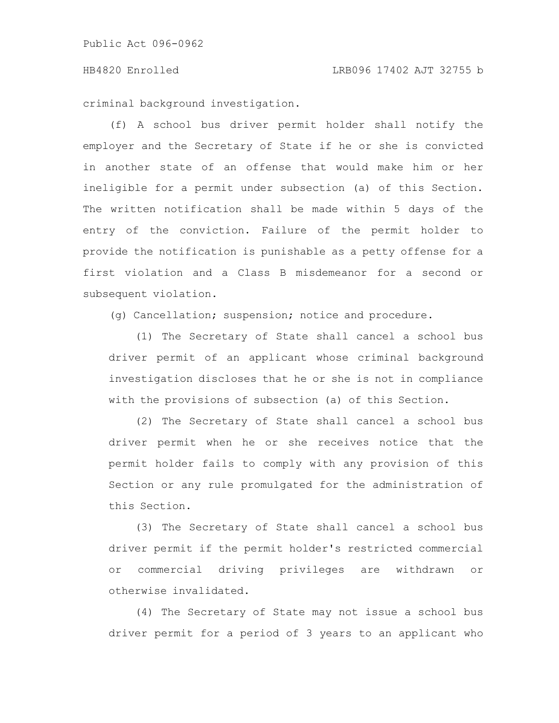#### HB4820 Enrolled LRB096 17402 AJT 32755 b

criminal background investigation.

(f) A school bus driver permit holder shall notify the employer and the Secretary of State if he or she is convicted in another state of an offense that would make him or her ineligible for a permit under subsection (a) of this Section. The written notification shall be made within 5 days of the entry of the conviction. Failure of the permit holder to provide the notification is punishable as a petty offense for a first violation and a Class B misdemeanor for a second or subsequent violation.

(g) Cancellation; suspension; notice and procedure.

(1) The Secretary of State shall cancel a school bus driver permit of an applicant whose criminal background investigation discloses that he or she is not in compliance with the provisions of subsection (a) of this Section.

(2) The Secretary of State shall cancel a school bus driver permit when he or she receives notice that the permit holder fails to comply with any provision of this Section or any rule promulgated for the administration of this Section.

(3) The Secretary of State shall cancel a school bus driver permit if the permit holder's restricted commercial or commercial driving privileges are withdrawn or otherwise invalidated.

(4) The Secretary of State may not issue a school bus driver permit for a period of 3 years to an applicant who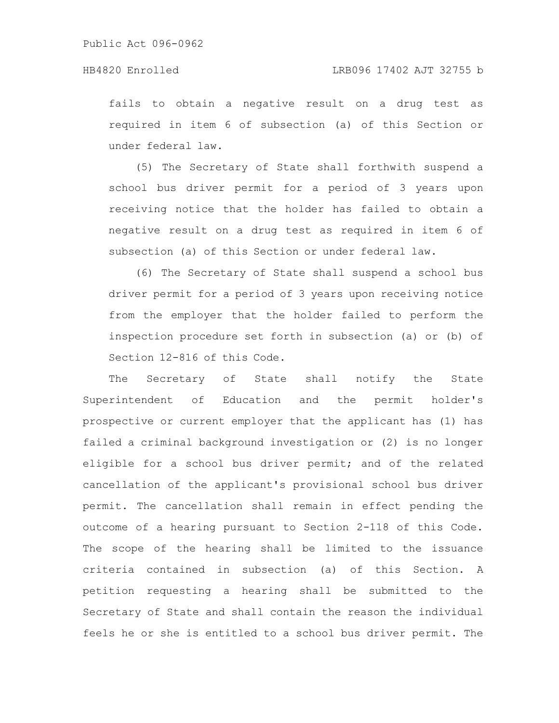fails to obtain a negative result on a drug test as required in item 6 of subsection (a) of this Section or under federal law.

(5) The Secretary of State shall forthwith suspend a school bus driver permit for a period of 3 years upon receiving notice that the holder has failed to obtain a negative result on a drug test as required in item 6 of subsection (a) of this Section or under federal law.

(6) The Secretary of State shall suspend a school bus driver permit for a period of 3 years upon receiving notice from the employer that the holder failed to perform the inspection procedure set forth in subsection (a) or (b) of Section 12-816 of this Code.

The Secretary of State shall notify the State Superintendent of Education and the permit holder's prospective or current employer that the applicant has (1) has failed a criminal background investigation or (2) is no longer eligible for a school bus driver permit; and of the related cancellation of the applicant's provisional school bus driver permit. The cancellation shall remain in effect pending the outcome of a hearing pursuant to Section 2-118 of this Code. The scope of the hearing shall be limited to the issuance criteria contained in subsection (a) of this Section. A petition requesting a hearing shall be submitted to the Secretary of State and shall contain the reason the individual feels he or she is entitled to a school bus driver permit. The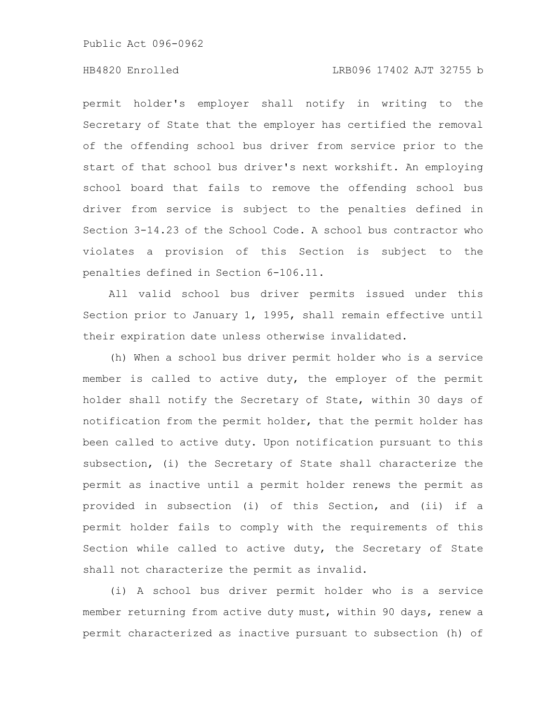### HB4820 Enrolled LRB096 17402 AJT 32755 b

permit holder's employer shall notify in writing to the Secretary of State that the employer has certified the removal of the offending school bus driver from service prior to the start of that school bus driver's next workshift. An employing school board that fails to remove the offending school bus driver from service is subject to the penalties defined in Section 3-14.23 of the School Code. A school bus contractor who violates a provision of this Section is subject to the penalties defined in Section 6-106.11.

All valid school bus driver permits issued under this Section prior to January 1, 1995, shall remain effective until their expiration date unless otherwise invalidated.

(h) When a school bus driver permit holder who is a service member is called to active duty, the employer of the permit holder shall notify the Secretary of State, within 30 days of notification from the permit holder, that the permit holder has been called to active duty. Upon notification pursuant to this subsection, (i) the Secretary of State shall characterize the permit as inactive until a permit holder renews the permit as provided in subsection (i) of this Section, and (ii) if a permit holder fails to comply with the requirements of this Section while called to active duty, the Secretary of State shall not characterize the permit as invalid.

(i) A school bus driver permit holder who is a service member returning from active duty must, within 90 days, renew a permit characterized as inactive pursuant to subsection (h) of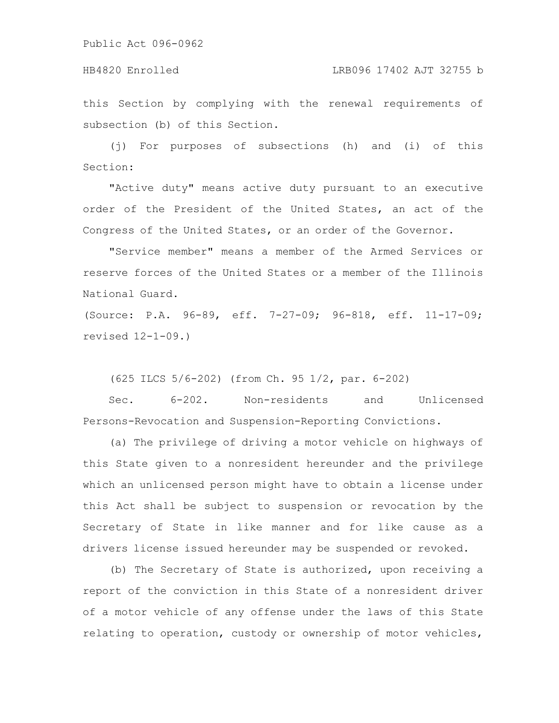### HB4820 Enrolled LRB096 17402 AJT 32755 b

this Section by complying with the renewal requirements of subsection (b) of this Section.

(j) For purposes of subsections (h) and (i) of this Section:

"Active duty" means active duty pursuant to an executive order of the President of the United States, an act of the Congress of the United States, or an order of the Governor.

"Service member" means a member of the Armed Services or reserve forces of the United States or a member of the Illinois National Guard.

(Source: P.A. 96-89, eff. 7-27-09; 96-818, eff. 11-17-09; revised 12-1-09.)

(625 ILCS 5/6-202) (from Ch. 95 1/2, par. 6-202)

Sec. 6-202. Non-residents and Unlicensed Persons-Revocation and Suspension-Reporting Convictions.

(a) The privilege of driving a motor vehicle on highways of this State given to a nonresident hereunder and the privilege which an unlicensed person might have to obtain a license under this Act shall be subject to suspension or revocation by the Secretary of State in like manner and for like cause as a drivers license issued hereunder may be suspended or revoked.

(b) The Secretary of State is authorized, upon receiving a report of the conviction in this State of a nonresident driver of a motor vehicle of any offense under the laws of this State relating to operation, custody or ownership of motor vehicles,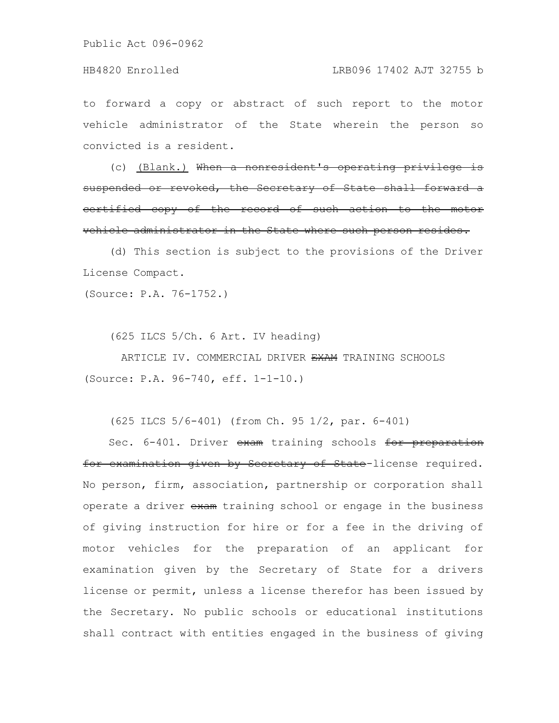#### HB4820 Enrolled LRB096 17402 AJT 32755 b

to forward a copy or abstract of such report to the motor vehicle administrator of the State wherein the person so convicted is a resident.

(c) (Blank.) When a nonresident's operating priv suspended or revoked, the Secretary of State shall forward a certified copy of the record of such action to the vehicle administrator in the State where such person resides.

(d) This section is subject to the provisions of the Driver License Compact.

(Source: P.A. 76-1752.)

(625 ILCS 5/Ch. 6 Art. IV heading)

ARTICLE IV. COMMERCIAL DRIVER EXAM TRAINING SCHOOLS (Source: P.A. 96-740, eff. 1-1-10.)

(625 ILCS 5/6-401) (from Ch. 95 1/2, par. 6-401)

Sec. 6-401. Driver exam training schools for preparation for examination given by Secretary of State-license required. No person, firm, association, partnership or corporation shall operate a driver exam training school or engage in the business of giving instruction for hire or for a fee in the driving of motor vehicles for the preparation of an applicant for examination given by the Secretary of State for a drivers license or permit, unless a license therefor has been issued by the Secretary. No public schools or educational institutions shall contract with entities engaged in the business of giving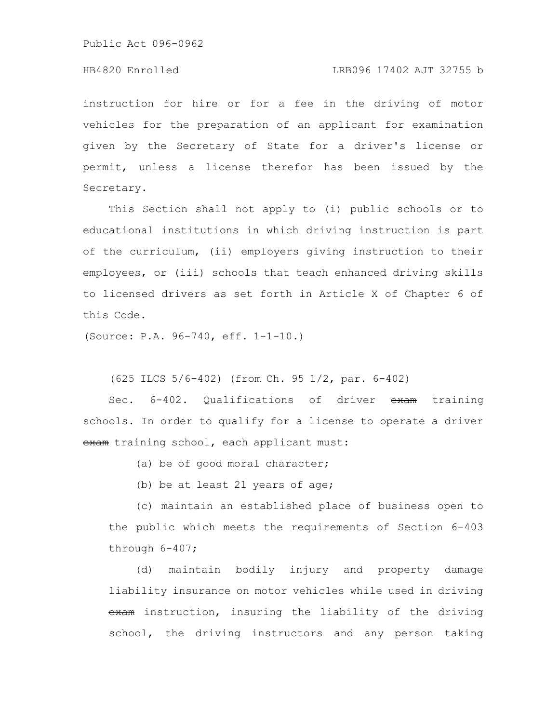#### HB4820 Enrolled LRB096 17402 AJT 32755 b

instruction for hire or for a fee in the driving of motor vehicles for the preparation of an applicant for examination given by the Secretary of State for a driver's license or permit, unless a license therefor has been issued by the Secretary.

This Section shall not apply to (i) public schools or to educational institutions in which driving instruction is part of the curriculum, (ii) employers giving instruction to their employees, or (iii) schools that teach enhanced driving skills to licensed drivers as set forth in Article X of Chapter 6 of this Code.

(Source: P.A. 96-740, eff. 1-1-10.)

(625 ILCS 5/6-402) (from Ch. 95 1/2, par. 6-402)

Sec. 6-402. Qualifications of driver exam training schools. In order to qualify for a license to operate a driver exam training school, each applicant must:

(a) be of good moral character;

(b) be at least 21 years of age;

(c) maintain an established place of business open to the public which meets the requirements of Section 6-403 through 6-407;

(d) maintain bodily injury and property damage liability insurance on motor vehicles while used in driving exam instruction, insuring the liability of the driving school, the driving instructors and any person taking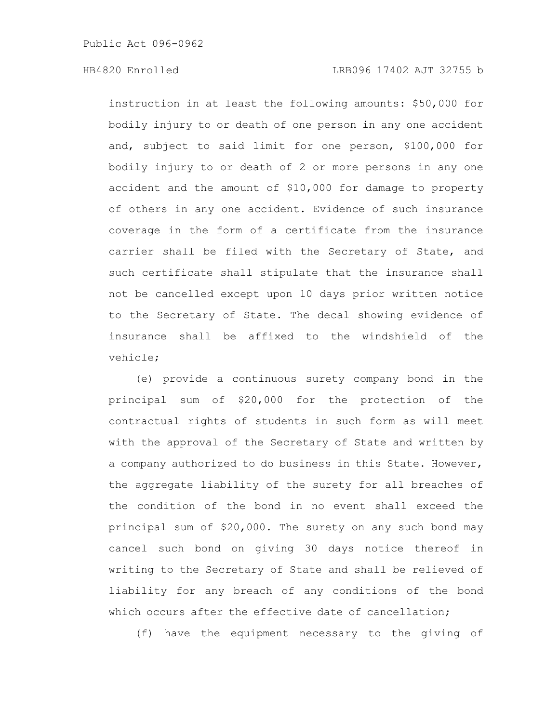instruction in at least the following amounts: \$50,000 for bodily injury to or death of one person in any one accident and, subject to said limit for one person, \$100,000 for bodily injury to or death of 2 or more persons in any one accident and the amount of \$10,000 for damage to property of others in any one accident. Evidence of such insurance coverage in the form of a certificate from the insurance carrier shall be filed with the Secretary of State, and such certificate shall stipulate that the insurance shall not be cancelled except upon 10 days prior written notice to the Secretary of State. The decal showing evidence of insurance shall be affixed to the windshield of the vehicle;

(e) provide a continuous surety company bond in the principal sum of \$20,000 for the protection of the contractual rights of students in such form as will meet with the approval of the Secretary of State and written by a company authorized to do business in this State. However, the aggregate liability of the surety for all breaches of the condition of the bond in no event shall exceed the principal sum of \$20,000. The surety on any such bond may cancel such bond on giving 30 days notice thereof in writing to the Secretary of State and shall be relieved of liability for any breach of any conditions of the bond which occurs after the effective date of cancellation;

(f) have the equipment necessary to the giving of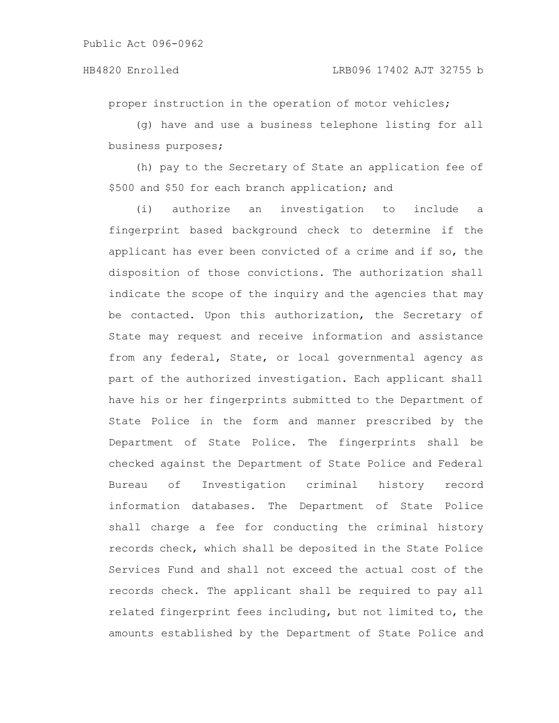proper instruction in the operation of motor vehicles;

(g) have and use a business telephone listing for all business purposes;

(h) pay to the Secretary of State an application fee of \$500 and \$50 for each branch application; and

(i) authorize an investigation to include a fingerprint based background check to determine if the applicant has ever been convicted of a crime and if so, the disposition of those convictions. The authorization shall indicate the scope of the inquiry and the agencies that may be contacted. Upon this authorization, the Secretary of State may request and receive information and assistance from any federal, State, or local governmental agency as part of the authorized investigation. Each applicant shall have his or her fingerprints submitted to the Department of State Police in the form and manner prescribed by the Department of State Police. The fingerprints shall be checked against the Department of State Police and Federal Bureau of Investigation criminal history record information databases. The Department of State Police shall charge a fee for conducting the criminal history records check, which shall be deposited in the State Police Services Fund and shall not exceed the actual cost of the records check. The applicant shall be required to pay all related fingerprint fees including, but not limited to, the amounts established by the Department of State Police and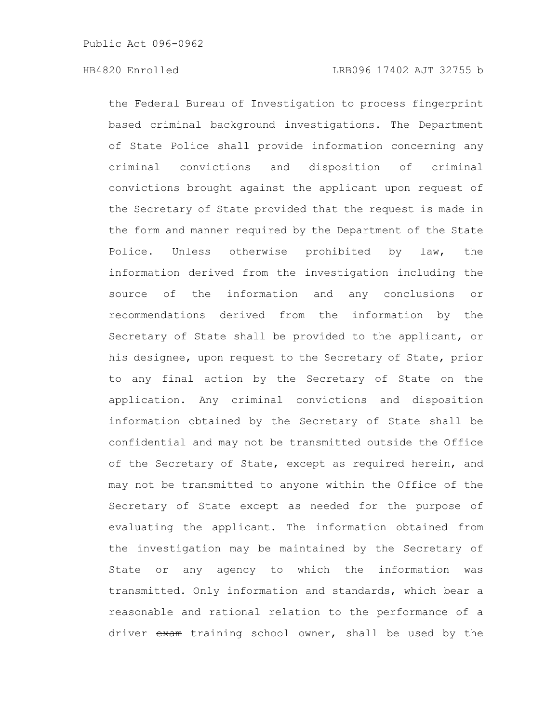the Federal Bureau of Investigation to process fingerprint based criminal background investigations. The Department of State Police shall provide information concerning any criminal convictions and disposition of criminal convictions brought against the applicant upon request of the Secretary of State provided that the request is made in the form and manner required by the Department of the State Police. Unless otherwise prohibited by law, the information derived from the investigation including the source of the information and any conclusions or recommendations derived from the information by the Secretary of State shall be provided to the applicant, or his designee, upon request to the Secretary of State, prior to any final action by the Secretary of State on the application. Any criminal convictions and disposition information obtained by the Secretary of State shall be confidential and may not be transmitted outside the Office of the Secretary of State, except as required herein, and may not be transmitted to anyone within the Office of the Secretary of State except as needed for the purpose of evaluating the applicant. The information obtained from the investigation may be maintained by the Secretary of State or any agency to which the information was transmitted. Only information and standards, which bear a reasonable and rational relation to the performance of a driver exam training school owner, shall be used by the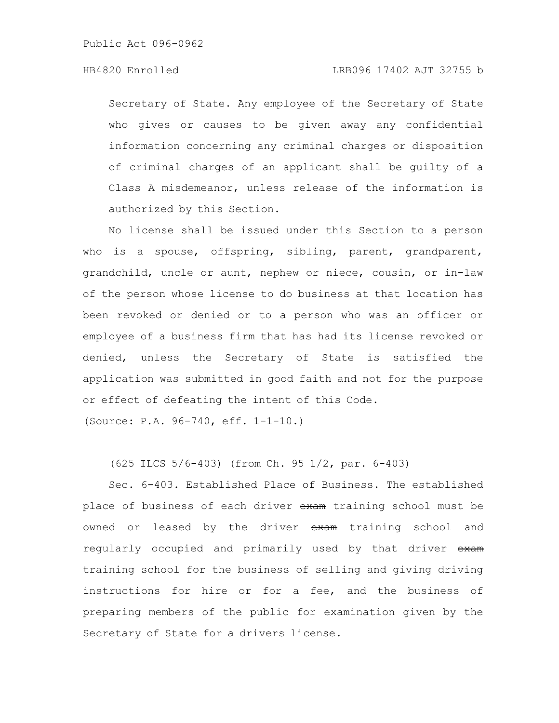#### HB4820 Enrolled LRB096 17402 AJT 32755 b

Secretary of State. Any employee of the Secretary of State who gives or causes to be given away any confidential information concerning any criminal charges or disposition of criminal charges of an applicant shall be guilty of a Class A misdemeanor, unless release of the information is authorized by this Section.

No license shall be issued under this Section to a person who is a spouse, offspring, sibling, parent, grandparent, grandchild, uncle or aunt, nephew or niece, cousin, or in-law of the person whose license to do business at that location has been revoked or denied or to a person who was an officer or employee of a business firm that has had its license revoked or denied, unless the Secretary of State is satisfied the application was submitted in good faith and not for the purpose or effect of defeating the intent of this Code.

(Source: P.A. 96-740, eff. 1-1-10.)

(625 ILCS 5/6-403) (from Ch. 95 1/2, par. 6-403)

Sec. 6-403. Established Place of Business. The established place of business of each driver exam training school must be owned or leased by the driver exam training school and regularly occupied and primarily used by that driver exam training school for the business of selling and giving driving instructions for hire or for a fee, and the business of preparing members of the public for examination given by the Secretary of State for a drivers license.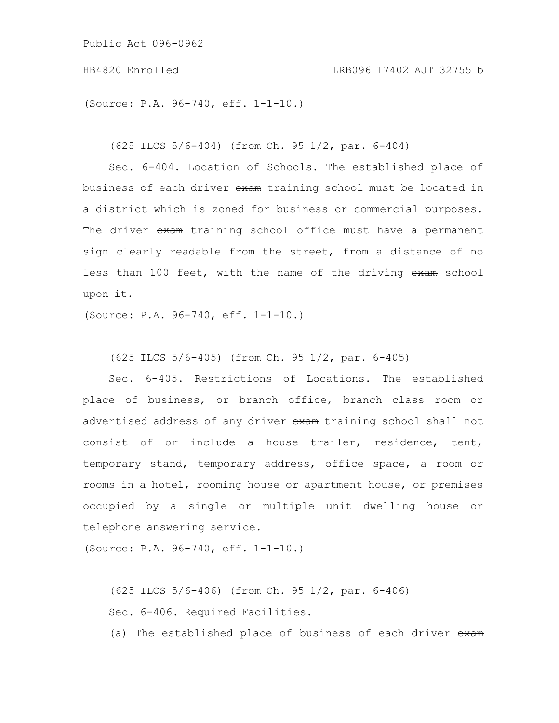(Source: P.A. 96-740, eff. 1-1-10.)

(625 ILCS 5/6-404) (from Ch. 95 1/2, par. 6-404)

Sec. 6-404. Location of Schools. The established place of business of each driver exam training school must be located in a district which is zoned for business or commercial purposes. The driver exam training school office must have a permanent sign clearly readable from the street, from a distance of no less than 100 feet, with the name of the driving exam school upon it.

(Source: P.A. 96-740, eff. 1-1-10.)

(625 ILCS 5/6-405) (from Ch. 95 1/2, par. 6-405)

Sec. 6-405. Restrictions of Locations. The established place of business, or branch office, branch class room or advertised address of any driver exam training school shall not consist of or include a house trailer, residence, tent, temporary stand, temporary address, office space, a room or rooms in a hotel, rooming house or apartment house, or premises occupied by a single or multiple unit dwelling house or telephone answering service.

(Source: P.A. 96-740, eff. 1-1-10.)

(625 ILCS 5/6-406) (from Ch. 95 1/2, par. 6-406) Sec. 6-406. Required Facilities.

(a) The established place of business of each driver exam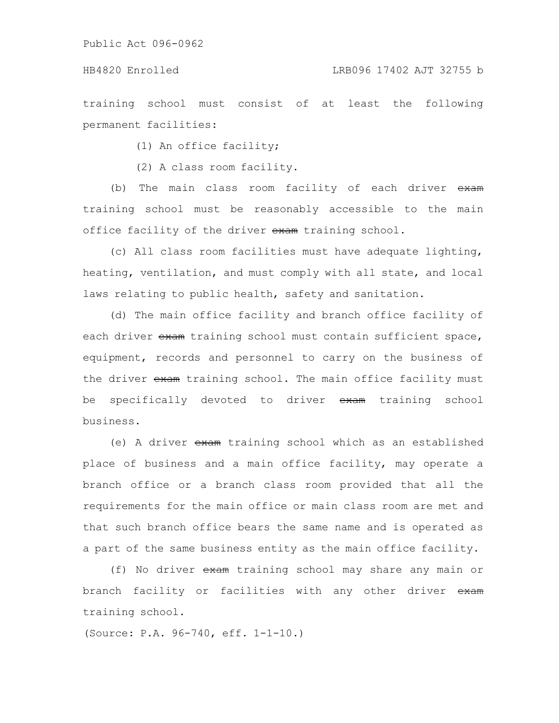#### HB4820 Enrolled LRB096 17402 AJT 32755 b

training school must consist of at least the following permanent facilities:

(1) An office facility;

(2) A class room facility.

(b) The main class room facility of each driver exam training school must be reasonably accessible to the main office facility of the driver exam training school.

(c) All class room facilities must have adequate lighting, heating, ventilation, and must comply with all state, and local laws relating to public health, safety and sanitation.

(d) The main office facility and branch office facility of each driver exam training school must contain sufficient space, equipment, records and personnel to carry on the business of the driver exam training school. The main office facility must be specifically devoted to driver exam training school business.

(e) A driver exam training school which as an established place of business and a main office facility, may operate a branch office or a branch class room provided that all the requirements for the main office or main class room are met and that such branch office bears the same name and is operated as a part of the same business entity as the main office facility.

(f) No driver exam training school may share any main or branch facility or facilities with any other driver exam training school.

(Source: P.A. 96-740, eff. 1-1-10.)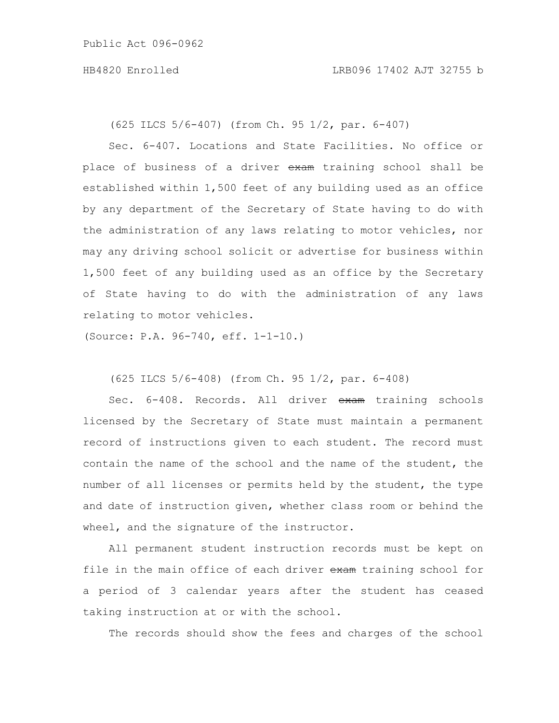(625 ILCS 5/6-407) (from Ch. 95 1/2, par. 6-407)

Sec. 6-407. Locations and State Facilities. No office or place of business of a driver exam training school shall be established within 1,500 feet of any building used as an office by any department of the Secretary of State having to do with the administration of any laws relating to motor vehicles, nor may any driving school solicit or advertise for business within 1,500 feet of any building used as an office by the Secretary of State having to do with the administration of any laws relating to motor vehicles.

(Source: P.A. 96-740, eff. 1-1-10.)

(625 ILCS 5/6-408) (from Ch. 95 1/2, par. 6-408)

Sec. 6-408. Records. All driver exam training schools licensed by the Secretary of State must maintain a permanent record of instructions given to each student. The record must contain the name of the school and the name of the student, the number of all licenses or permits held by the student, the type and date of instruction given, whether class room or behind the wheel, and the signature of the instructor.

All permanent student instruction records must be kept on file in the main office of each driver exam training school for a period of 3 calendar years after the student has ceased taking instruction at or with the school.

The records should show the fees and charges of the school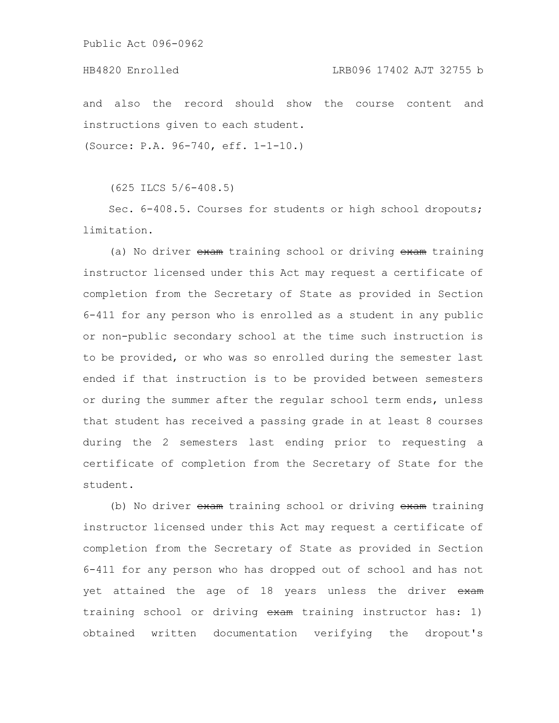### HB4820 Enrolled LRB096 17402 AJT 32755 b

and also the record should show the course content and instructions given to each student.

(Source: P.A. 96-740, eff. 1-1-10.)

(625 ILCS 5/6-408.5)

Sec. 6-408.5. Courses for students or high school dropouts; limitation.

(a) No driver exam training school or driving exam training instructor licensed under this Act may request a certificate of completion from the Secretary of State as provided in Section 6-411 for any person who is enrolled as a student in any public or non-public secondary school at the time such instruction is to be provided, or who was so enrolled during the semester last ended if that instruction is to be provided between semesters or during the summer after the regular school term ends, unless that student has received a passing grade in at least 8 courses during the 2 semesters last ending prior to requesting a certificate of completion from the Secretary of State for the student.

(b) No driver exam training school or driving exam training instructor licensed under this Act may request a certificate of completion from the Secretary of State as provided in Section 6-411 for any person who has dropped out of school and has not yet attained the age of 18 years unless the driver exam training school or driving exam training instructor has: 1) obtained written documentation verifying the dropout's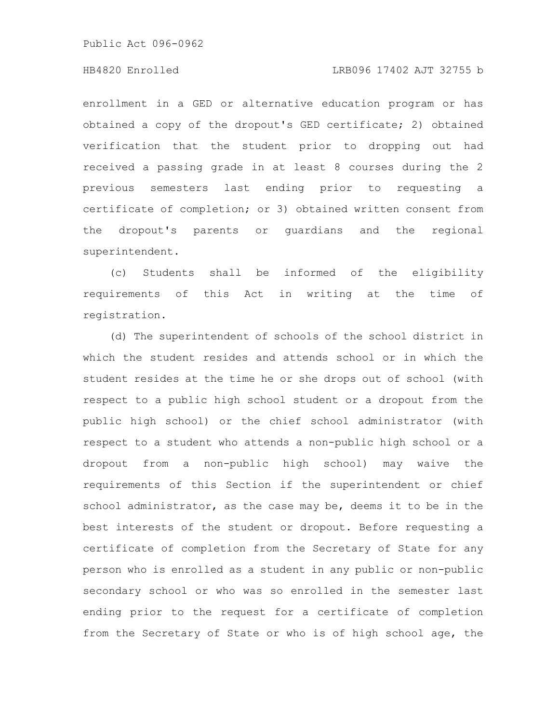### HB4820 Enrolled LRB096 17402 AJT 32755 b

enrollment in a GED or alternative education program or has obtained a copy of the dropout's GED certificate; 2) obtained verification that the student prior to dropping out had received a passing grade in at least 8 courses during the 2 previous semesters last ending prior to requesting a certificate of completion; or 3) obtained written consent from the dropout's parents or guardians and the regional superintendent.

(c) Students shall be informed of the eligibility requirements of this Act in writing at the time of registration.

(d) The superintendent of schools of the school district in which the student resides and attends school or in which the student resides at the time he or she drops out of school (with respect to a public high school student or a dropout from the public high school) or the chief school administrator (with respect to a student who attends a non-public high school or a dropout from a non-public high school) may waive the requirements of this Section if the superintendent or chief school administrator, as the case may be, deems it to be in the best interests of the student or dropout. Before requesting a certificate of completion from the Secretary of State for any person who is enrolled as a student in any public or non-public secondary school or who was so enrolled in the semester last ending prior to the request for a certificate of completion from the Secretary of State or who is of high school age, the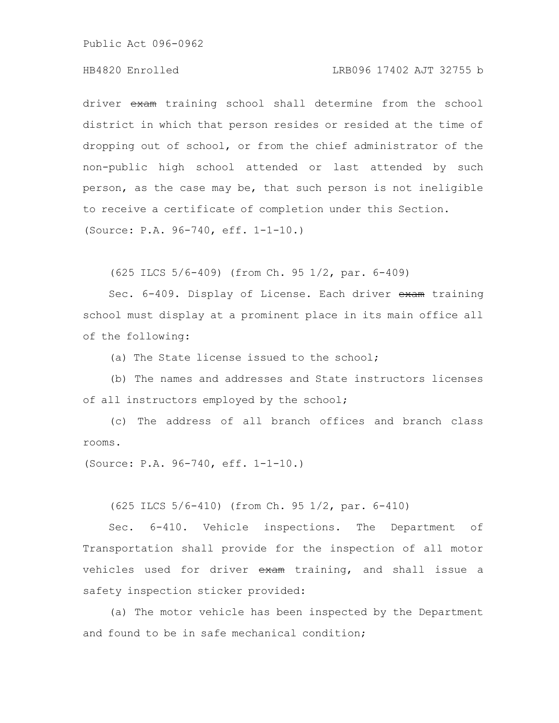### HB4820 Enrolled LRB096 17402 AJT 32755 b

driver exam training school shall determine from the school district in which that person resides or resided at the time of dropping out of school, or from the chief administrator of the non-public high school attended or last attended by such person, as the case may be, that such person is not ineligible to receive a certificate of completion under this Section. (Source: P.A. 96-740, eff. 1-1-10.)

(625 ILCS 5/6-409) (from Ch. 95 1/2, par. 6-409)

Sec. 6-409. Display of License. Each driver exam training school must display at a prominent place in its main office all of the following:

(a) The State license issued to the school;

(b) The names and addresses and State instructors licenses of all instructors employed by the school;

(c) The address of all branch offices and branch class rooms.

(Source: P.A. 96-740, eff. 1-1-10.)

(625 ILCS 5/6-410) (from Ch. 95 1/2, par. 6-410)

Sec. 6-410. Vehicle inspections. The Department of Transportation shall provide for the inspection of all motor vehicles used for driver exam training, and shall issue a safety inspection sticker provided:

(a) The motor vehicle has been inspected by the Department and found to be in safe mechanical condition;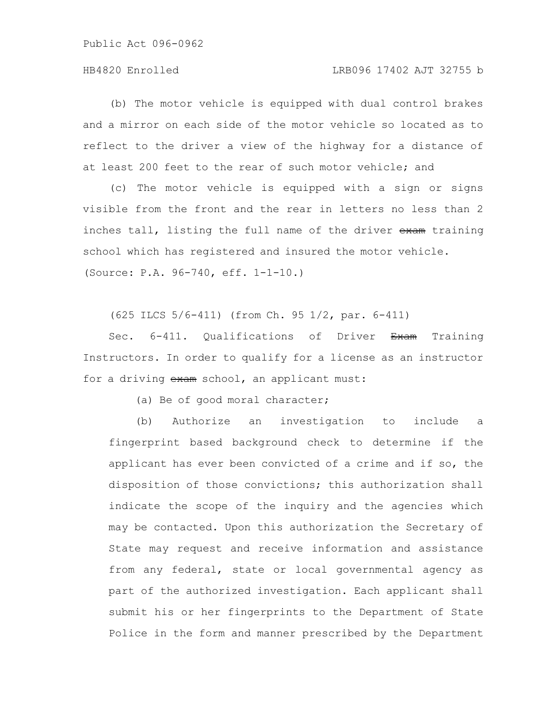### HB4820 Enrolled LRB096 17402 AJT 32755 b

(b) The motor vehicle is equipped with dual control brakes and a mirror on each side of the motor vehicle so located as to reflect to the driver a view of the highway for a distance of at least 200 feet to the rear of such motor vehicle; and

(c) The motor vehicle is equipped with a sign or signs visible from the front and the rear in letters no less than 2 inches tall, listing the full name of the driver exam training school which has registered and insured the motor vehicle. (Source: P.A. 96-740, eff. 1-1-10.)

(625 ILCS 5/6-411) (from Ch. 95 1/2, par. 6-411)

Sec. 6-411. Qualifications of Driver Exam Training Instructors. In order to qualify for a license as an instructor for a driving exam school, an applicant must:

(a) Be of good moral character;

(b) Authorize an investigation to include a fingerprint based background check to determine if the applicant has ever been convicted of a crime and if so, the disposition of those convictions; this authorization shall indicate the scope of the inquiry and the agencies which may be contacted. Upon this authorization the Secretary of State may request and receive information and assistance from any federal, state or local governmental agency as part of the authorized investigation. Each applicant shall submit his or her fingerprints to the Department of State Police in the form and manner prescribed by the Department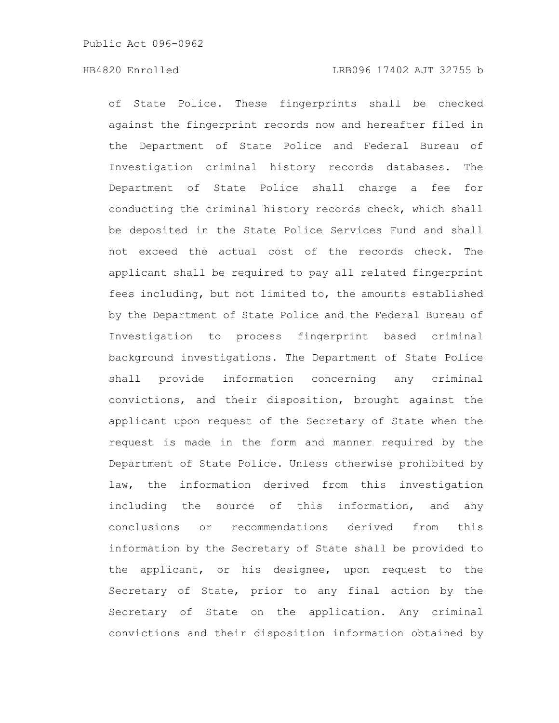of State Police. These fingerprints shall be checked against the fingerprint records now and hereafter filed in the Department of State Police and Federal Bureau of Investigation criminal history records databases. The Department of State Police shall charge a fee for conducting the criminal history records check, which shall be deposited in the State Police Services Fund and shall not exceed the actual cost of the records check. The applicant shall be required to pay all related fingerprint fees including, but not limited to, the amounts established by the Department of State Police and the Federal Bureau of Investigation to process fingerprint based criminal background investigations. The Department of State Police shall provide information concerning any criminal convictions, and their disposition, brought against the applicant upon request of the Secretary of State when the request is made in the form and manner required by the Department of State Police. Unless otherwise prohibited by law, the information derived from this investigation including the source of this information, and any conclusions or recommendations derived from this information by the Secretary of State shall be provided to the applicant, or his designee, upon request to the Secretary of State, prior to any final action by the Secretary of State on the application. Any criminal convictions and their disposition information obtained by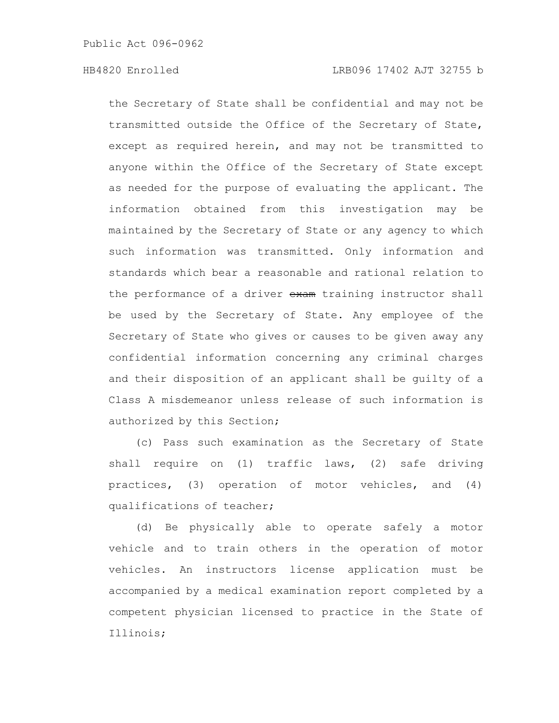the Secretary of State shall be confidential and may not be transmitted outside the Office of the Secretary of State, except as required herein, and may not be transmitted to anyone within the Office of the Secretary of State except as needed for the purpose of evaluating the applicant. The information obtained from this investigation may be maintained by the Secretary of State or any agency to which such information was transmitted. Only information and standards which bear a reasonable and rational relation to the performance of a driver exam training instructor shall be used by the Secretary of State. Any employee of the Secretary of State who gives or causes to be given away any confidential information concerning any criminal charges and their disposition of an applicant shall be guilty of a Class A misdemeanor unless release of such information is authorized by this Section;

(c) Pass such examination as the Secretary of State shall require on (1) traffic laws, (2) safe driving practices, (3) operation of motor vehicles, and (4) qualifications of teacher;

(d) Be physically able to operate safely a motor vehicle and to train others in the operation of motor vehicles. An instructors license application must be accompanied by a medical examination report completed by a competent physician licensed to practice in the State of Illinois;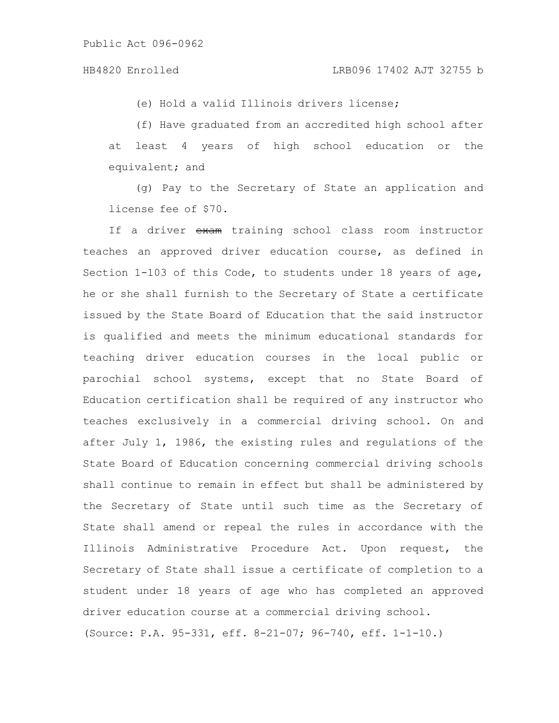(e) Hold a valid Illinois drivers license;

(f) Have graduated from an accredited high school after at least 4 years of high school education or the equivalent; and

(g) Pay to the Secretary of State an application and license fee of \$70.

If a driver exam training school class room instructor teaches an approved driver education course, as defined in Section 1-103 of this Code, to students under 18 years of age, he or she shall furnish to the Secretary of State a certificate issued by the State Board of Education that the said instructor is qualified and meets the minimum educational standards for teaching driver education courses in the local public or parochial school systems, except that no State Board of Education certification shall be required of any instructor who teaches exclusively in a commercial driving school. On and after July 1, 1986, the existing rules and regulations of the State Board of Education concerning commercial driving schools shall continue to remain in effect but shall be administered by the Secretary of State until such time as the Secretary of State shall amend or repeal the rules in accordance with the Illinois Administrative Procedure Act. Upon request, the Secretary of State shall issue a certificate of completion to a student under 18 years of age who has completed an approved driver education course at a commercial driving school. (Source: P.A. 95-331, eff. 8-21-07; 96-740, eff. 1-1-10.)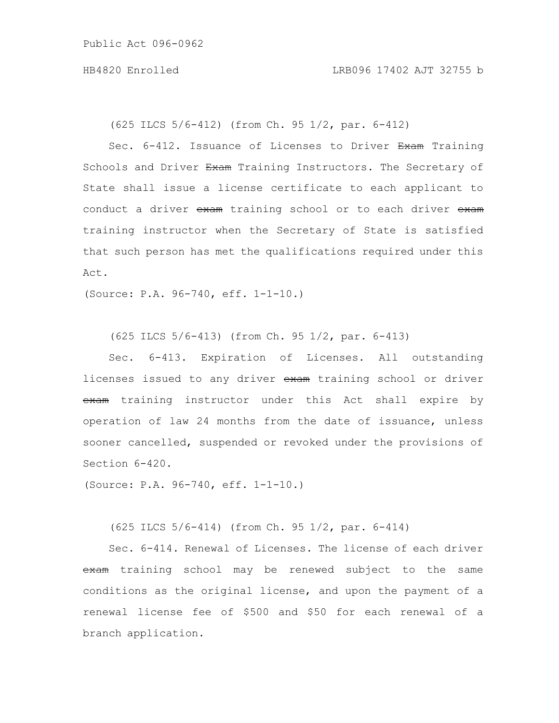(625 ILCS 5/6-412) (from Ch. 95 1/2, par. 6-412)

Sec. 6-412. Issuance of Licenses to Driver Exam Training Schools and Driver Exam Training Instructors. The Secretary of State shall issue a license certificate to each applicant to conduct a driver exam training school or to each driver exam training instructor when the Secretary of State is satisfied that such person has met the qualifications required under this Act.

(Source: P.A. 96-740, eff. 1-1-10.)

(625 ILCS 5/6-413) (from Ch. 95 1/2, par. 6-413)

Sec. 6-413. Expiration of Licenses. All outstanding licenses issued to any driver exam training school or driver exam training instructor under this Act shall expire by operation of law 24 months from the date of issuance, unless sooner cancelled, suspended or revoked under the provisions of Section 6-420.

(Source: P.A. 96-740, eff. 1-1-10.)

(625 ILCS 5/6-414) (from Ch. 95 1/2, par. 6-414)

Sec. 6-414. Renewal of Licenses. The license of each driver exam training school may be renewed subject to the same conditions as the original license, and upon the payment of a renewal license fee of \$500 and \$50 for each renewal of a branch application.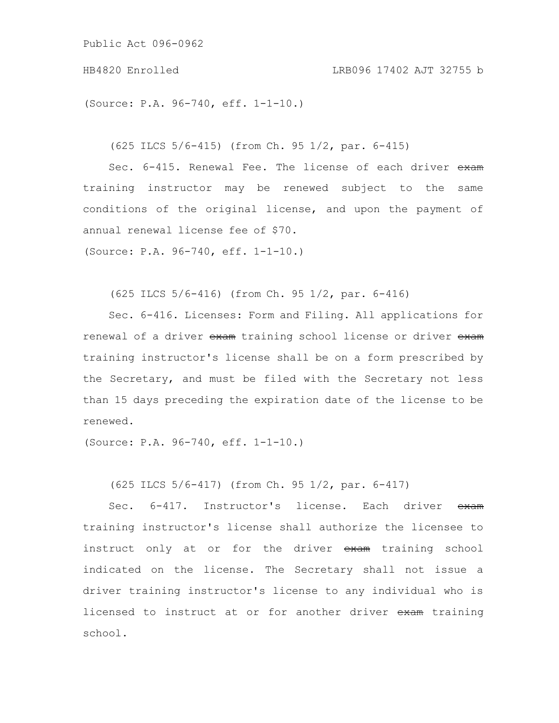HB4820 Enrolled LRB096 17402 AJT 32755 b

(Source: P.A. 96-740, eff. 1-1-10.)

(625 ILCS 5/6-415) (from Ch. 95 1/2, par. 6-415)

Sec. 6-415. Renewal Fee. The license of each driver exam training instructor may be renewed subject to the same conditions of the original license, and upon the payment of annual renewal license fee of \$70.

(Source: P.A. 96-740, eff. 1-1-10.)

(625 ILCS 5/6-416) (from Ch. 95 1/2, par. 6-416)

Sec. 6-416. Licenses: Form and Filing. All applications for renewal of a driver exam training school license or driver exam training instructor's license shall be on a form prescribed by the Secretary, and must be filed with the Secretary not less than 15 days preceding the expiration date of the license to be renewed.

(Source: P.A. 96-740, eff. 1-1-10.)

(625 ILCS 5/6-417) (from Ch. 95 1/2, par. 6-417)

Sec. 6-417. Instructor's license. Each driver exam training instructor's license shall authorize the licensee to instruct only at or for the driver exam training school indicated on the license. The Secretary shall not issue a driver training instructor's license to any individual who is licensed to instruct at or for another driver exam training school.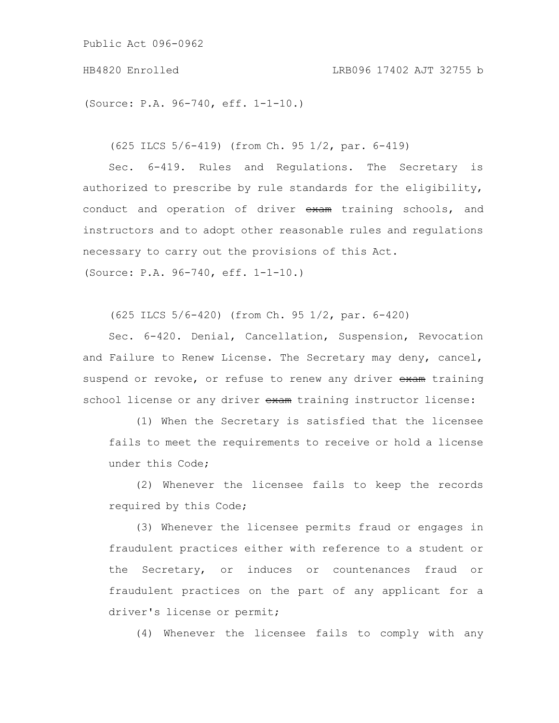(Source: P.A. 96-740, eff. 1-1-10.)

(625 ILCS 5/6-419) (from Ch. 95 1/2, par. 6-419)

Sec. 6-419. Rules and Regulations. The Secretary is authorized to prescribe by rule standards for the eligibility, conduct and operation of driver exam training schools, and instructors and to adopt other reasonable rules and regulations necessary to carry out the provisions of this Act. (Source: P.A. 96-740, eff. 1-1-10.)

(625 ILCS 5/6-420) (from Ch. 95 1/2, par. 6-420)

Sec. 6-420. Denial, Cancellation, Suspension, Revocation and Failure to Renew License. The Secretary may deny, cancel, suspend or revoke, or refuse to renew any driver exam training school license or any driver exam training instructor license:

(1) When the Secretary is satisfied that the licensee fails to meet the requirements to receive or hold a license under this Code;

(2) Whenever the licensee fails to keep the records required by this Code;

(3) Whenever the licensee permits fraud or engages in fraudulent practices either with reference to a student or the Secretary, or induces or countenances fraud or fraudulent practices on the part of any applicant for a driver's license or permit;

(4) Whenever the licensee fails to comply with any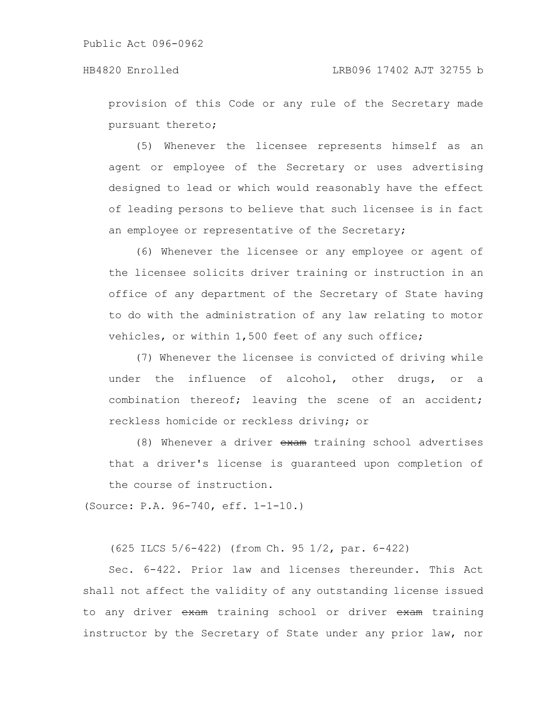provision of this Code or any rule of the Secretary made pursuant thereto;

(5) Whenever the licensee represents himself as an agent or employee of the Secretary or uses advertising designed to lead or which would reasonably have the effect of leading persons to believe that such licensee is in fact an employee or representative of the Secretary;

(6) Whenever the licensee or any employee or agent of the licensee solicits driver training or instruction in an office of any department of the Secretary of State having to do with the administration of any law relating to motor vehicles, or within 1,500 feet of any such office;

(7) Whenever the licensee is convicted of driving while under the influence of alcohol, other drugs, or a combination thereof; leaving the scene of an accident; reckless homicide or reckless driving; or

(8) Whenever a driver exam training school advertises that a driver's license is guaranteed upon completion of the course of instruction.

(Source: P.A. 96-740, eff. 1-1-10.)

(625 ILCS 5/6-422) (from Ch. 95 1/2, par. 6-422)

Sec. 6-422. Prior law and licenses thereunder. This Act shall not affect the validity of any outstanding license issued to any driver exam training school or driver exam training instructor by the Secretary of State under any prior law, nor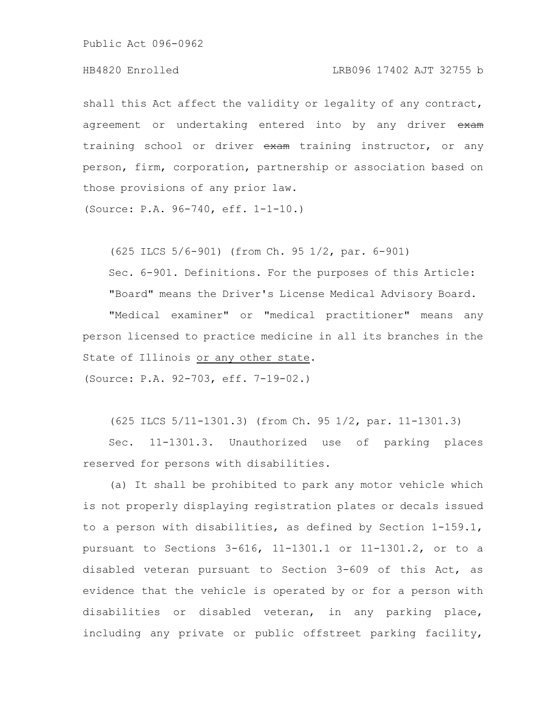#### HB4820 Enrolled LRB096 17402 AJT 32755 b

shall this Act affect the validity or legality of any contract, agreement or undertaking entered into by any driver exam training school or driver exam training instructor, or any person, firm, corporation, partnership or association based on those provisions of any prior law.

(Source: P.A. 96-740, eff. 1-1-10.)

(625 ILCS 5/6-901) (from Ch. 95 1/2, par. 6-901)

Sec. 6-901. Definitions. For the purposes of this Article: "Board" means the Driver's License Medical Advisory Board.

"Medical examiner" or "medical practitioner" means any person licensed to practice medicine in all its branches in the State of Illinois or any other state.

(Source: P.A. 92-703, eff. 7-19-02.)

(625 ILCS 5/11-1301.3) (from Ch. 95 1/2, par. 11-1301.3)

Sec. 11-1301.3. Unauthorized use of parking places reserved for persons with disabilities.

(a) It shall be prohibited to park any motor vehicle which is not properly displaying registration plates or decals issued to a person with disabilities, as defined by Section 1-159.1, pursuant to Sections 3-616, 11-1301.1 or 11-1301.2, or to a disabled veteran pursuant to Section 3-609 of this Act, as evidence that the vehicle is operated by or for a person with disabilities or disabled veteran, in any parking place, including any private or public offstreet parking facility,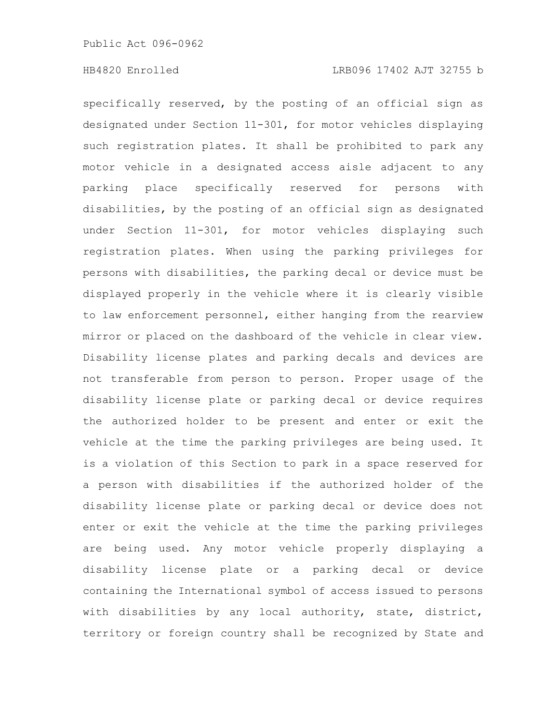specifically reserved, by the posting of an official sign as designated under Section 11-301, for motor vehicles displaying such registration plates. It shall be prohibited to park any motor vehicle in a designated access aisle adjacent to any parking place specifically reserved for persons with disabilities, by the posting of an official sign as designated under Section 11-301, for motor vehicles displaying such registration plates. When using the parking privileges for persons with disabilities, the parking decal or device must be displayed properly in the vehicle where it is clearly visible to law enforcement personnel, either hanging from the rearview mirror or placed on the dashboard of the vehicle in clear view. Disability license plates and parking decals and devices are not transferable from person to person. Proper usage of the disability license plate or parking decal or device requires the authorized holder to be present and enter or exit the vehicle at the time the parking privileges are being used. It is a violation of this Section to park in a space reserved for a person with disabilities if the authorized holder of the disability license plate or parking decal or device does not enter or exit the vehicle at the time the parking privileges are being used. Any motor vehicle properly displaying a disability license plate or a parking decal or device containing the International symbol of access issued to persons with disabilities by any local authority, state, district, territory or foreign country shall be recognized by State and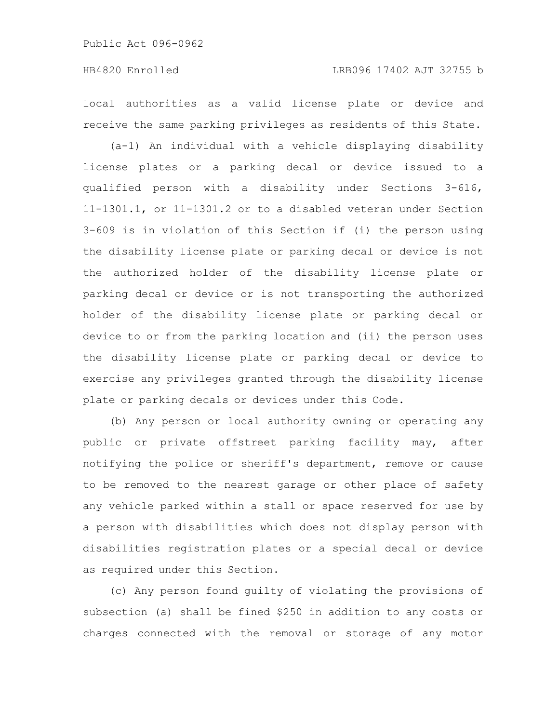local authorities as a valid license plate or device and receive the same parking privileges as residents of this State.

(a-1) An individual with a vehicle displaying disability license plates or a parking decal or device issued to a qualified person with a disability under Sections 3-616, 11-1301.1, or 11-1301.2 or to a disabled veteran under Section 3-609 is in violation of this Section if (i) the person using the disability license plate or parking decal or device is not the authorized holder of the disability license plate or parking decal or device or is not transporting the authorized holder of the disability license plate or parking decal or device to or from the parking location and (ii) the person uses the disability license plate or parking decal or device to exercise any privileges granted through the disability license plate or parking decals or devices under this Code.

(b) Any person or local authority owning or operating any public or private offstreet parking facility may, after notifying the police or sheriff's department, remove or cause to be removed to the nearest garage or other place of safety any vehicle parked within a stall or space reserved for use by a person with disabilities which does not display person with disabilities registration plates or a special decal or device as required under this Section.

(c) Any person found guilty of violating the provisions of subsection (a) shall be fined \$250 in addition to any costs or charges connected with the removal or storage of any motor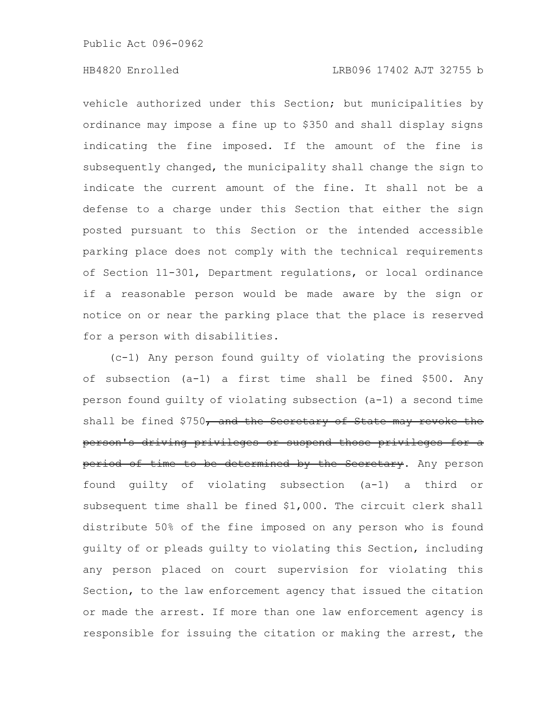### HB4820 Enrolled LRB096 17402 AJT 32755 b

vehicle authorized under this Section; but municipalities by ordinance may impose a fine up to \$350 and shall display signs indicating the fine imposed. If the amount of the fine is subsequently changed, the municipality shall change the sign to indicate the current amount of the fine. It shall not be a defense to a charge under this Section that either the sign posted pursuant to this Section or the intended accessible parking place does not comply with the technical requirements of Section 11-301, Department regulations, or local ordinance if a reasonable person would be made aware by the sign or notice on or near the parking place that the place is reserved for a person with disabilities.

(c-1) Any person found guilty of violating the provisions of subsection (a-1) a first time shall be fined \$500. Any person found guilty of violating subsection (a-1) a second time shall be fined \$750, and the Secretary of State may revoke the person's driving privileges or suspend those privileges for a period of time to be determined by the Secretary. Any person found guilty of violating subsection (a-1) a third or subsequent time shall be fined \$1,000. The circuit clerk shall distribute 50% of the fine imposed on any person who is found guilty of or pleads guilty to violating this Section, including any person placed on court supervision for violating this Section, to the law enforcement agency that issued the citation or made the arrest. If more than one law enforcement agency is responsible for issuing the citation or making the arrest, the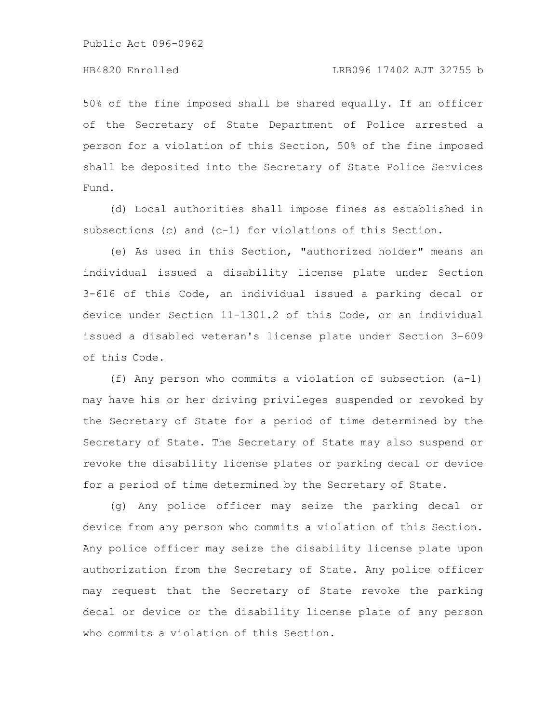50% of the fine imposed shall be shared equally. If an officer of the Secretary of State Department of Police arrested a person for a violation of this Section, 50% of the fine imposed shall be deposited into the Secretary of State Police Services Fund.

(d) Local authorities shall impose fines as established in subsections (c) and (c-1) for violations of this Section.

(e) As used in this Section, "authorized holder" means an individual issued a disability license plate under Section 3-616 of this Code, an individual issued a parking decal or device under Section 11-1301.2 of this Code, or an individual issued a disabled veteran's license plate under Section 3-609 of this Code.

(f) Any person who commits a violation of subsection (a-1) may have his or her driving privileges suspended or revoked by the Secretary of State for a period of time determined by the Secretary of State. The Secretary of State may also suspend or revoke the disability license plates or parking decal or device for a period of time determined by the Secretary of State.

(g) Any police officer may seize the parking decal or device from any person who commits a violation of this Section. Any police officer may seize the disability license plate upon authorization from the Secretary of State. Any police officer may request that the Secretary of State revoke the parking decal or device or the disability license plate of any person who commits a violation of this Section.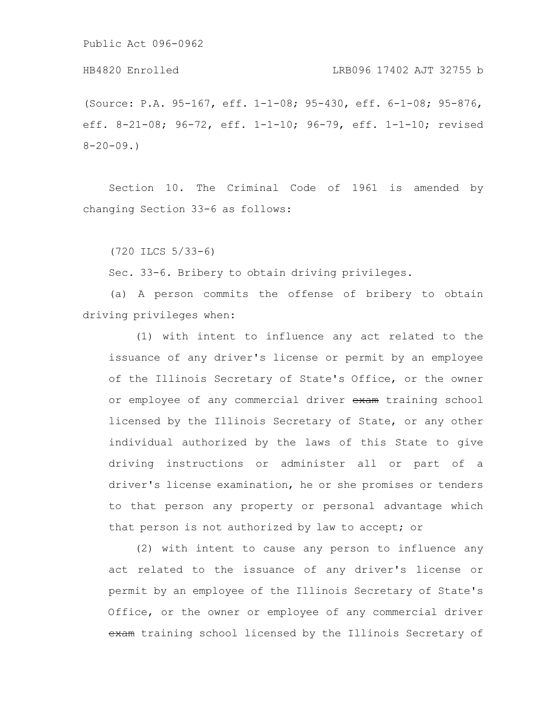#### HB4820 Enrolled LRB096 17402 AJT 32755 b

(Source: P.A. 95-167, eff. 1-1-08; 95-430, eff. 6-1-08; 95-876, eff. 8-21-08; 96-72, eff. 1-1-10; 96-79, eff. 1-1-10; revised  $8 - 20 - 09.$ 

Section 10. The Criminal Code of 1961 is amended by changing Section 33-6 as follows:

(720 ILCS 5/33-6)

Sec. 33-6. Bribery to obtain driving privileges.

(a) A person commits the offense of bribery to obtain driving privileges when:

(1) with intent to influence any act related to the issuance of any driver's license or permit by an employee of the Illinois Secretary of State's Office, or the owner or employee of any commercial driver exam training school licensed by the Illinois Secretary of State, or any other individual authorized by the laws of this State to give driving instructions or administer all or part of a driver's license examination, he or she promises or tenders to that person any property or personal advantage which that person is not authorized by law to accept; or

(2) with intent to cause any person to influence any act related to the issuance of any driver's license or permit by an employee of the Illinois Secretary of State's Office, or the owner or employee of any commercial driver exam training school licensed by the Illinois Secretary of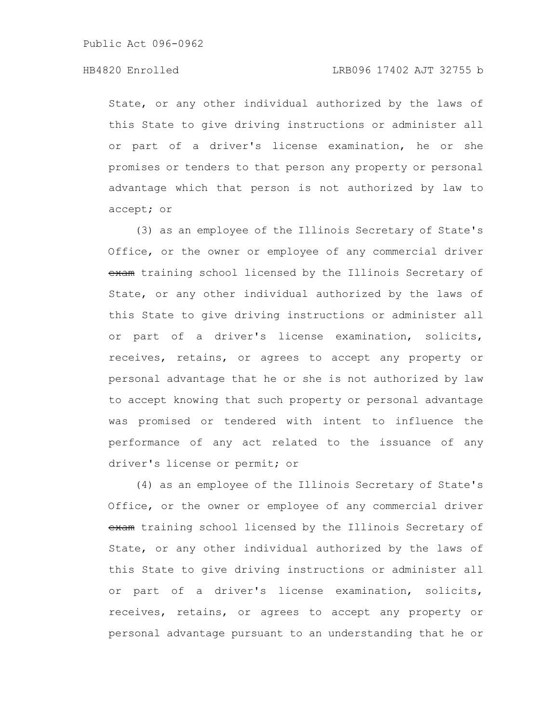### HB4820 Enrolled LRB096 17402 AJT 32755 b

State, or any other individual authorized by the laws of this State to give driving instructions or administer all or part of a driver's license examination, he or she promises or tenders to that person any property or personal advantage which that person is not authorized by law to accept; or

(3) as an employee of the Illinois Secretary of State's Office, or the owner or employee of any commercial driver exam training school licensed by the Illinois Secretary of State, or any other individual authorized by the laws of this State to give driving instructions or administer all or part of a driver's license examination, solicits, receives, retains, or agrees to accept any property or personal advantage that he or she is not authorized by law to accept knowing that such property or personal advantage was promised or tendered with intent to influence the performance of any act related to the issuance of any driver's license or permit; or

(4) as an employee of the Illinois Secretary of State's Office, or the owner or employee of any commercial driver exam training school licensed by the Illinois Secretary of State, or any other individual authorized by the laws of this State to give driving instructions or administer all or part of a driver's license examination, solicits, receives, retains, or agrees to accept any property or personal advantage pursuant to an understanding that he or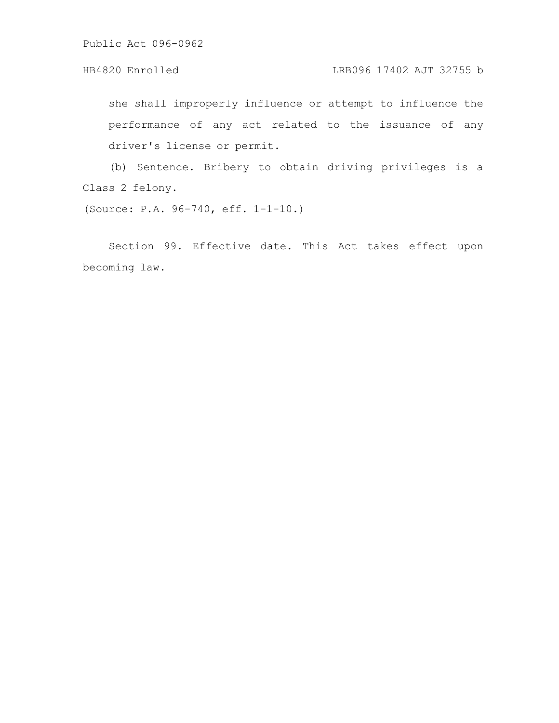## HB4820 Enrolled LRB096 17402 AJT 32755 b

she shall improperly influence or attempt to influence the performance of any act related to the issuance of any driver's license or permit.

(b) Sentence. Bribery to obtain driving privileges is a Class 2 felony.

(Source: P.A. 96-740, eff. 1-1-10.)

Section 99. Effective date. This Act takes effect upon becoming law.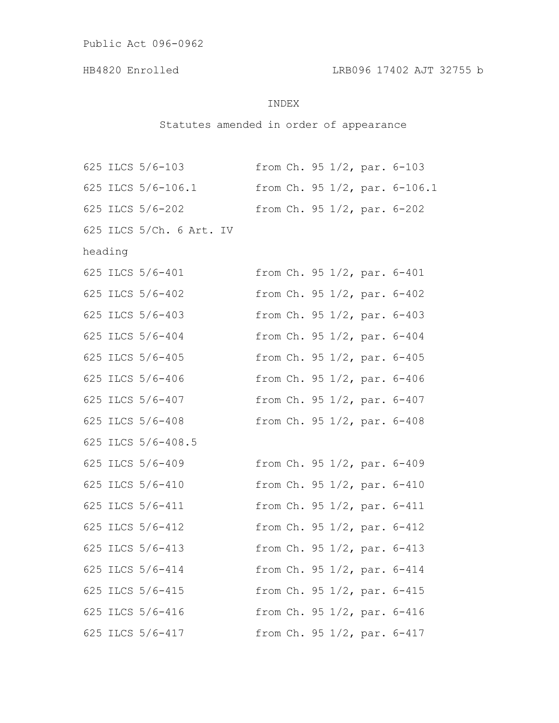# INDEX

# Statutes amended in order of appearance

|         |  | 625 ILCS 5/6-103         |  |  |  |  |  | from $Ch. 95 1/2$ , par. $6-103$ |
|---------|--|--------------------------|--|--|--|--|--|----------------------------------|
|         |  | 625 ILCS 5/6-106.1       |  |  |  |  |  | from Ch. 95 1/2, par. 6-106.1    |
|         |  | 625 ILCS 5/6-202         |  |  |  |  |  | from $Ch. 95 1/2$ , par. $6-202$ |
|         |  | 625 ILCS 5/Ch. 6 Art. IV |  |  |  |  |  |                                  |
| heading |  |                          |  |  |  |  |  |                                  |
|         |  | 625 ILCS 5/6-401         |  |  |  |  |  | from Ch. 95 1/2, par. 6-401      |
|         |  | 625 ILCS 5/6-402         |  |  |  |  |  | from Ch. 95 1/2, par. 6-402      |
|         |  | 625 ILCS 5/6-403         |  |  |  |  |  | from Ch. 95 1/2, par. 6-403      |
|         |  | 625 ILCS 5/6-404         |  |  |  |  |  | from Ch. 95 1/2, par. 6-404      |
|         |  | 625 ILCS 5/6-405         |  |  |  |  |  | from Ch. 95 1/2, par. 6-405      |
|         |  | 625 ILCS 5/6-406         |  |  |  |  |  | from Ch. 95 1/2, par. 6-406      |
|         |  | 625 ILCS 5/6-407         |  |  |  |  |  | from Ch. 95 1/2, par. 6-407      |
|         |  | 625 ILCS 5/6-408         |  |  |  |  |  | from Ch. 95 1/2, par. 6-408      |
|         |  | 625 ILCS 5/6-408.5       |  |  |  |  |  |                                  |
|         |  | 625 ILCS 5/6-409         |  |  |  |  |  | from Ch. 95 1/2, par. 6-409      |
|         |  | 625 ILCS 5/6-410         |  |  |  |  |  | from Ch. 95 1/2, par. 6-410      |
|         |  | 625 ILCS 5/6-411         |  |  |  |  |  | from Ch. 95 1/2, par. 6-411      |
|         |  | 625 ILCS 5/6-412         |  |  |  |  |  | from Ch. 95 1/2, par. 6-412      |
|         |  | 625 ILCS 5/6-413         |  |  |  |  |  | from Ch. 95 1/2, par. 6-413      |
|         |  | 625 ILCS 5/6-414         |  |  |  |  |  | from Ch. 95 1/2, par. 6-414      |
|         |  | 625 ILCS 5/6-415         |  |  |  |  |  | from Ch. 95 1/2, par. 6-415      |
|         |  | 625 ILCS 5/6-416         |  |  |  |  |  | from Ch. 95 1/2, par. 6-416      |
|         |  | 625 ILCS 5/6-417         |  |  |  |  |  | from Ch. 95 1/2, par. 6-417      |